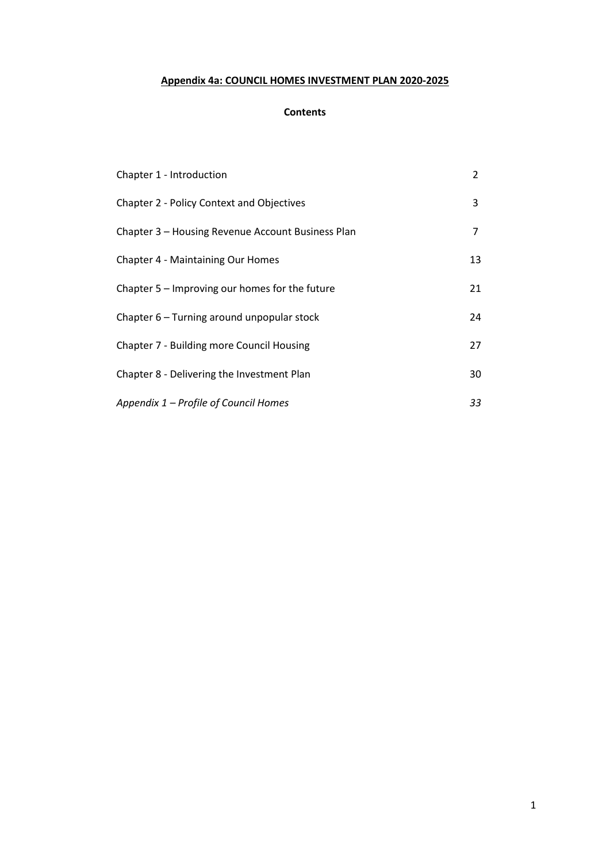# **Appendix 4a: COUNCIL HOMES INVESTMENT PLAN 2020-2025**

### **Contents**

| Chapter 1 - Introduction                          | $2^{\circ}$ |
|---------------------------------------------------|-------------|
| <b>Chapter 2 - Policy Context and Objectives</b>  | 3           |
| Chapter 3 - Housing Revenue Account Business Plan | 7           |
| Chapter 4 - Maintaining Our Homes                 | 13          |
| Chapter 5 – Improving our homes for the future    | 21          |
| Chapter 6 - Turning around unpopular stock        | 24          |
| Chapter 7 - Building more Council Housing         | 27          |
| Chapter 8 - Delivering the Investment Plan        | 30          |
| Appendix 1 - Profile of Council Homes             | 33          |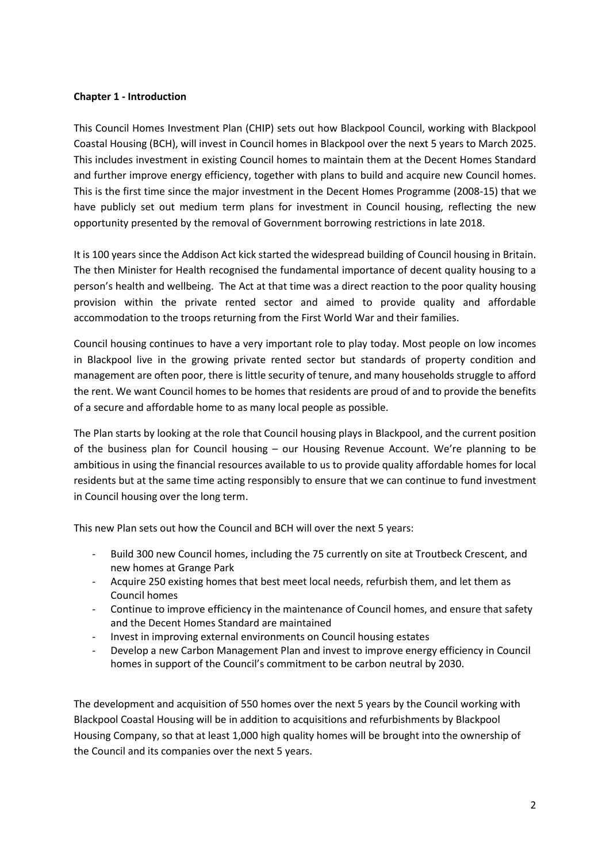#### **Chapter 1 - Introduction**

This Council Homes Investment Plan (CHIP) sets out how Blackpool Council, working with Blackpool Coastal Housing (BCH), will invest in Council homes in Blackpool over the next 5 years to March 2025. This includes investment in existing Council homes to maintain them at the Decent Homes Standard and further improve energy efficiency, together with plans to build and acquire new Council homes. This is the first time since the major investment in the Decent Homes Programme (2008-15) that we have publicly set out medium term plans for investment in Council housing, reflecting the new opportunity presented by the removal of Government borrowing restrictions in late 2018.

It is 100 years since the Addison Act kick started the widespread building of Council housing in Britain. The then Minister for Health recognised the fundamental importance of decent quality housing to a person's health and wellbeing. The Act at that time was a direct reaction to the poor quality housing provision within the private rented sector and aimed to provide quality and affordable accommodation to the troops returning from the First World War and their families.

Council housing continues to have a very important role to play today. Most people on low incomes in Blackpool live in the growing private rented sector but standards of property condition and management are often poor, there is little security of tenure, and many households struggle to afford the rent. We want Council homes to be homes that residents are proud of and to provide the benefits of a secure and affordable home to as many local people as possible.

The Plan starts by looking at the role that Council housing plays in Blackpool, and the current position of the business plan for Council housing – our Housing Revenue Account. We're planning to be ambitious in using the financial resources available to us to provide quality affordable homes for local residents but at the same time acting responsibly to ensure that we can continue to fund investment in Council housing over the long term.

This new Plan sets out how the Council and BCH will over the next 5 years:

- Build 300 new Council homes, including the 75 currently on site at Troutbeck Crescent, and new homes at Grange Park
- Acquire 250 existing homes that best meet local needs, refurbish them, and let them as Council homes
- Continue to improve efficiency in the maintenance of Council homes, and ensure that safety and the Decent Homes Standard are maintained
- Invest in improving external environments on Council housing estates
- Develop a new Carbon Management Plan and invest to improve energy efficiency in Council homes in support of the Council's commitment to be carbon neutral by 2030.

The development and acquisition of 550 homes over the next 5 years by the Council working with Blackpool Coastal Housing will be in addition to acquisitions and refurbishments by Blackpool Housing Company, so that at least 1,000 high quality homes will be brought into the ownership of the Council and its companies over the next 5 years.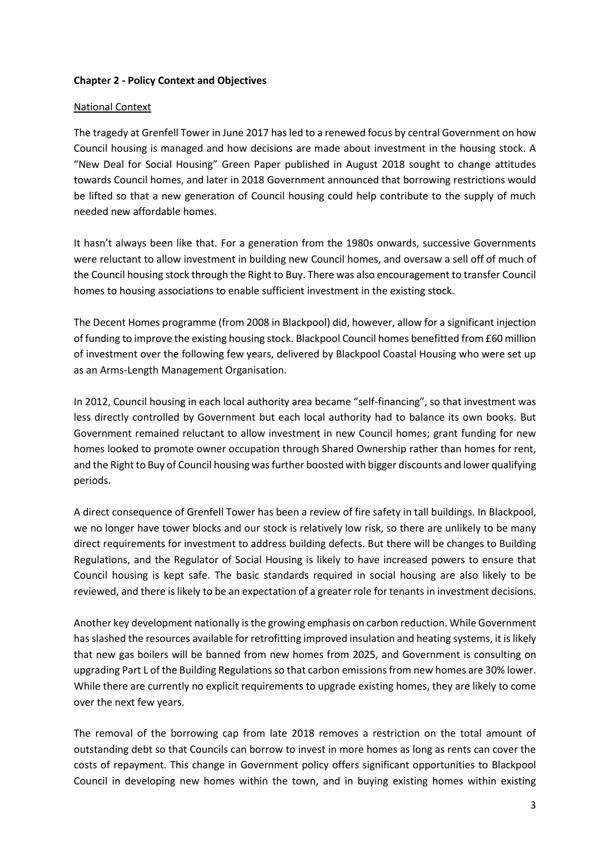#### **Chapter 2 - Policy Context and Objectives**

#### National Context

The tragedy at Grenfell Tower in June 2017 has led to a renewed focus by central Government on how Council housing is managed and how decisions are made about investment in the housing stock. A "New Deal for Social Housing" Green Paper published in August 2018 sought to change attitudes towards Council homes, and later in 2018 Government announced that borrowing restrictions would be lifted so that a new generation of Council housing could help contribute to the supply of much needed new affordable homes.

It hasn't always been like that. For a generation from the 1980s onwards, successive Governments were reluctant to allow investment in building new Council homes, and oversaw a sell off of much of the Council housing stock through the Right to Buy. There was also encouragement to transfer Council homes to housing associations to enable sufficient investment in the existing stock.

The Decent Homes programme (from 2008 in Blackpool) did, however, allow for a significant injection of funding to improve the existing housing stock. Blackpool Council homes benefitted from £60 million of investment over the following few years, delivered by Blackpool Coastal Housing who were set up as an Arms-Length Management Organisation.

In 2012, Council housing in each local authority area became "self-financing", so that investment was less directly controlled by Government but each local authority had to balance its own books. But Government remained reluctant to allow investment in new Council homes; grant funding for new homes looked to promote owner occupation through Shared Ownership rather than homes for rent, and the Right to Buy of Council housing was further boosted with bigger discounts and lower qualifying periods.

A direct consequence of Grenfell Tower has been a review of fire safety in tall buildings. In Blackpool, we no longer have tower blocks and our stock is relatively low risk, so there are unlikely to be many direct requirements for investment to address building defects. But there will be changes to Building Regulations, and the Regulator of Social Housing is likely to have increased powers to ensure that Council housing is kept safe. The basic standards required in social housing are also likely to be reviewed, and there is likely to be an expectation of a greater role for tenants in investment decisions.

Another key development nationally is the growing emphasis on carbon reduction. While Government has slashed the resources available for retrofitting improved insulation and heating systems, it is likely that new gas boilers will be banned from new homes from 2025, and Government is consulting on upgrading Part L of the Building Regulations so that carbon emissions from new homes are 30% lower. While there are currently no explicit requirements to upgrade existing homes, they are likely to come over the next few years.

The removal of the borrowing cap from late 2018 removes a restriction on the total amount of outstanding debt so that Councils can borrow to invest in more homes as long as rents can cover the costs of repayment. This change in Government policy offers significant opportunities to Blackpool Council in developing new homes within the town, and in buying existing homes within existing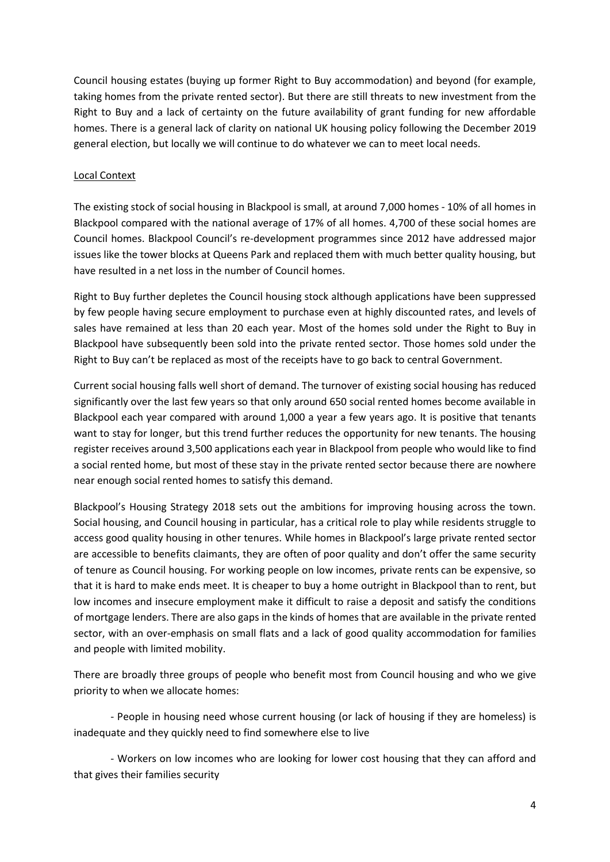Council housing estates (buying up former Right to Buy accommodation) and beyond (for example, taking homes from the private rented sector). But there are still threats to new investment from the Right to Buy and a lack of certainty on the future availability of grant funding for new affordable homes. There is a general lack of clarity on national UK housing policy following the December 2019 general election, but locally we will continue to do whatever we can to meet local needs.

### Local Context

The existing stock of social housing in Blackpool is small, at around 7,000 homes - 10% of all homes in Blackpool compared with the national average of 17% of all homes. 4,700 of these social homes are Council homes. Blackpool Council's re-development programmes since 2012 have addressed major issues like the tower blocks at Queens Park and replaced them with much better quality housing, but have resulted in a net loss in the number of Council homes.

Right to Buy further depletes the Council housing stock although applications have been suppressed by few people having secure employment to purchase even at highly discounted rates, and levels of sales have remained at less than 20 each year. Most of the homes sold under the Right to Buy in Blackpool have subsequently been sold into the private rented sector. Those homes sold under the Right to Buy can't be replaced as most of the receipts have to go back to central Government.

Current social housing falls well short of demand. The turnover of existing social housing has reduced significantly over the last few years so that only around 650 social rented homes become available in Blackpool each year compared with around 1,000 a year a few years ago. It is positive that tenants want to stay for longer, but this trend further reduces the opportunity for new tenants. The housing register receives around 3,500 applications each year in Blackpool from people who would like to find a social rented home, but most of these stay in the private rented sector because there are nowhere near enough social rented homes to satisfy this demand.

Blackpool's Housing Strategy 2018 sets out the ambitions for improving housing across the town. Social housing, and Council housing in particular, has a critical role to play while residents struggle to access good quality housing in other tenures. While homes in Blackpool's large private rented sector are accessible to benefits claimants, they are often of poor quality and don't offer the same security of tenure as Council housing. For working people on low incomes, private rents can be expensive, so that it is hard to make ends meet. It is cheaper to buy a home outright in Blackpool than to rent, but low incomes and insecure employment make it difficult to raise a deposit and satisfy the conditions of mortgage lenders. There are also gaps in the kinds of homes that are available in the private rented sector, with an over-emphasis on small flats and a lack of good quality accommodation for families and people with limited mobility.

There are broadly three groups of people who benefit most from Council housing and who we give priority to when we allocate homes:

- People in housing need whose current housing (or lack of housing if they are homeless) is inadequate and they quickly need to find somewhere else to live

- Workers on low incomes who are looking for lower cost housing that they can afford and that gives their families security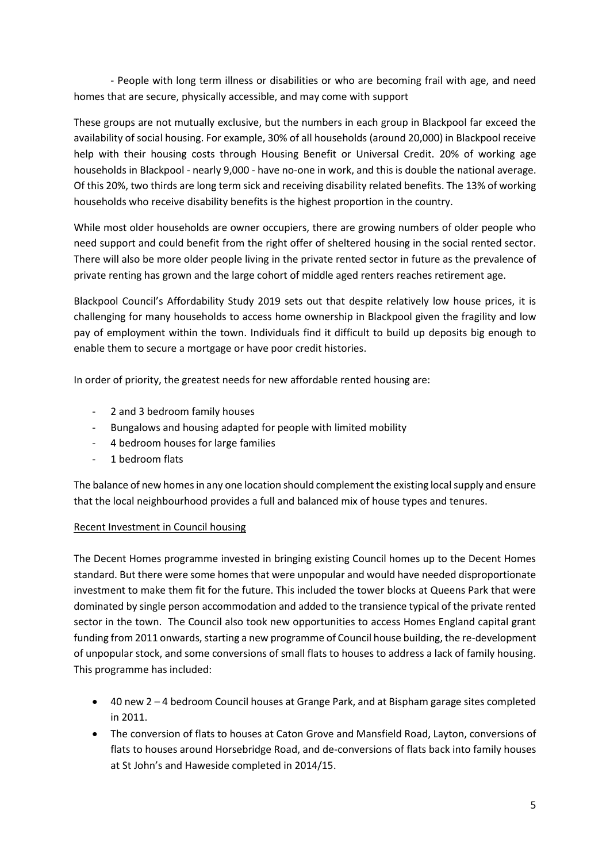- People with long term illness or disabilities or who are becoming frail with age, and need homes that are secure, physically accessible, and may come with support

These groups are not mutually exclusive, but the numbers in each group in Blackpool far exceed the availability of social housing. For example, 30% of all households (around 20,000) in Blackpool receive help with their housing costs through Housing Benefit or Universal Credit. 20% of working age households in Blackpool - nearly 9,000 - have no-one in work, and this is double the national average. Of this 20%, two thirds are long term sick and receiving disability related benefits. The 13% of working households who receive disability benefits is the highest proportion in the country.

While most older households are owner occupiers, there are growing numbers of older people who need support and could benefit from the right offer of sheltered housing in the social rented sector. There will also be more older people living in the private rented sector in future as the prevalence of private renting has grown and the large cohort of middle aged renters reaches retirement age.

Blackpool Council's Affordability Study 2019 sets out that despite relatively low house prices, it is challenging for many households to access home ownership in Blackpool given the fragility and low pay of employment within the town. Individuals find it difficult to build up deposits big enough to enable them to secure a mortgage or have poor credit histories.

In order of priority, the greatest needs for new affordable rented housing are:

- 2 and 3 bedroom family houses
- Bungalows and housing adapted for people with limited mobility
- 4 bedroom houses for large families
- 1 bedroom flats

The balance of new homes in any one location should complement the existing local supply and ensure that the local neighbourhood provides a full and balanced mix of house types and tenures.

### Recent Investment in Council housing

The Decent Homes programme invested in bringing existing Council homes up to the Decent Homes standard. But there were some homes that were unpopular and would have needed disproportionate investment to make them fit for the future. This included the tower blocks at Queens Park that were dominated by single person accommodation and added to the transience typical of the private rented sector in the town. The Council also took new opportunities to access Homes England capital grant funding from 2011 onwards, starting a new programme of Council house building, the re-development of unpopular stock, and some conversions of small flats to houses to address a lack of family housing. This programme has included:

- 40 new 2 4 bedroom Council houses at Grange Park, and at Bispham garage sites completed in 2011.
- The conversion of flats to houses at Caton Grove and Mansfield Road, Layton, conversions of flats to houses around Horsebridge Road, and de-conversions of flats back into family houses at St John's and Haweside completed in 2014/15.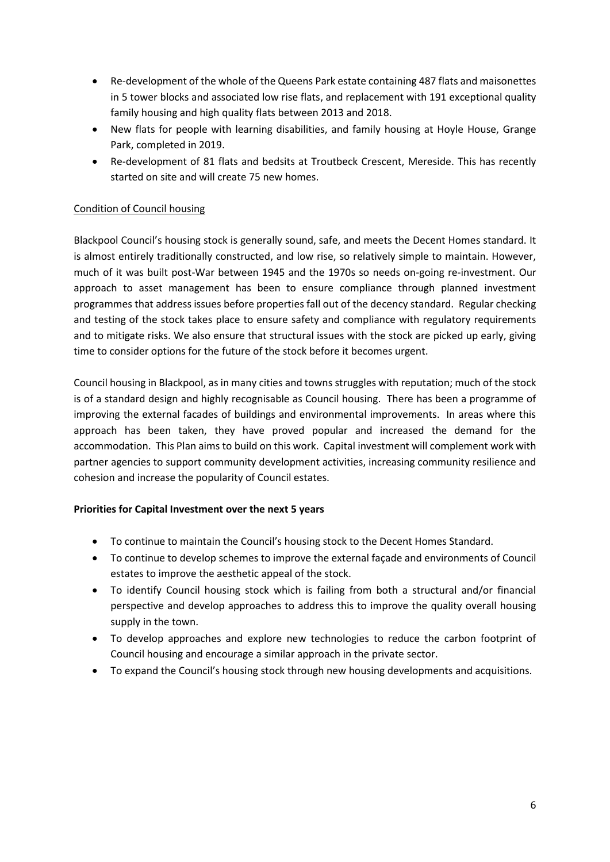- Re-development of the whole of the Queens Park estate containing 487 flats and maisonettes in 5 tower blocks and associated low rise flats, and replacement with 191 exceptional quality family housing and high quality flats between 2013 and 2018.
- New flats for people with learning disabilities, and family housing at Hoyle House, Grange Park, completed in 2019.
- Re-development of 81 flats and bedsits at Troutbeck Crescent, Mereside. This has recently started on site and will create 75 new homes.

## Condition of Council housing

Blackpool Council's housing stock is generally sound, safe, and meets the Decent Homes standard. It is almost entirely traditionally constructed, and low rise, so relatively simple to maintain. However, much of it was built post-War between 1945 and the 1970s so needs on-going re-investment. Our approach to asset management has been to ensure compliance through planned investment programmes that address issues before properties fall out of the decency standard. Regular checking and testing of the stock takes place to ensure safety and compliance with regulatory requirements and to mitigate risks. We also ensure that structural issues with the stock are picked up early, giving time to consider options for the future of the stock before it becomes urgent.

Council housing in Blackpool, as in many cities and towns struggles with reputation; much of the stock is of a standard design and highly recognisable as Council housing. There has been a programme of improving the external facades of buildings and environmental improvements. In areas where this approach has been taken, they have proved popular and increased the demand for the accommodation. This Plan aims to build on this work. Capital investment will complement work with partner agencies to support community development activities, increasing community resilience and cohesion and increase the popularity of Council estates.

### **Priorities for Capital Investment over the next 5 years**

- To continue to maintain the Council's housing stock to the Decent Homes Standard.
- To continue to develop schemes to improve the external façade and environments of Council estates to improve the aesthetic appeal of the stock.
- To identify Council housing stock which is failing from both a structural and/or financial perspective and develop approaches to address this to improve the quality overall housing supply in the town.
- To develop approaches and explore new technologies to reduce the carbon footprint of Council housing and encourage a similar approach in the private sector.
- To expand the Council's housing stock through new housing developments and acquisitions.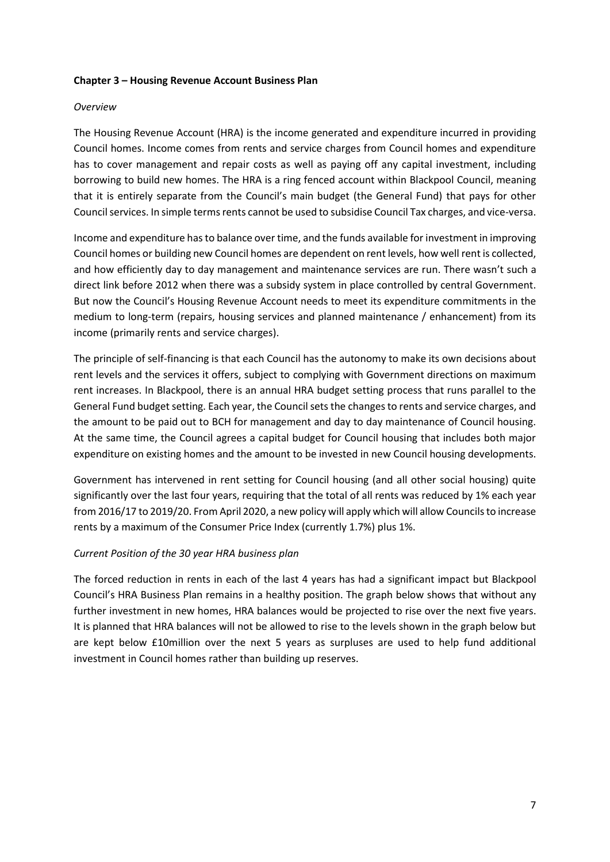#### **Chapter 3 – Housing Revenue Account Business Plan**

#### *Overview*

The Housing Revenue Account (HRA) is the income generated and expenditure incurred in providing Council homes. Income comes from rents and service charges from Council homes and expenditure has to cover management and repair costs as well as paying off any capital investment, including borrowing to build new homes. The HRA is a ring fenced account within Blackpool Council, meaning that it is entirely separate from the Council's main budget (the General Fund) that pays for other Council services. In simple terms rents cannot be used to subsidise Council Tax charges, and vice-versa.

Income and expenditure has to balance over time, and the funds available for investment in improving Council homes or building new Council homes are dependent on rent levels, how well rent is collected, and how efficiently day to day management and maintenance services are run. There wasn't such a direct link before 2012 when there was a subsidy system in place controlled by central Government. But now the Council's Housing Revenue Account needs to meet its expenditure commitments in the medium to long-term (repairs, housing services and planned maintenance / enhancement) from its income (primarily rents and service charges).

The principle of self-financing is that each Council has the autonomy to make its own decisions about rent levels and the services it offers, subject to complying with Government directions on maximum rent increases. In Blackpool, there is an annual HRA budget setting process that runs parallel to the General Fund budget setting. Each year, the Council sets the changes to rents and service charges, and the amount to be paid out to BCH for management and day to day maintenance of Council housing. At the same time, the Council agrees a capital budget for Council housing that includes both major expenditure on existing homes and the amount to be invested in new Council housing developments.

Government has intervened in rent setting for Council housing (and all other social housing) quite significantly over the last four years, requiring that the total of all rents was reduced by 1% each year from 2016/17 to 2019/20. From April 2020, a new policy will apply which will allow Councils to increase rents by a maximum of the Consumer Price Index (currently 1.7%) plus 1%.

#### *Current Position of the 30 year HRA business plan*

The forced reduction in rents in each of the last 4 years has had a significant impact but Blackpool Council's HRA Business Plan remains in a healthy position. The graph below shows that without any further investment in new homes, HRA balances would be projected to rise over the next five years. It is planned that HRA balances will not be allowed to rise to the levels shown in the graph below but are kept below £10million over the next 5 years as surpluses are used to help fund additional investment in Council homes rather than building up reserves.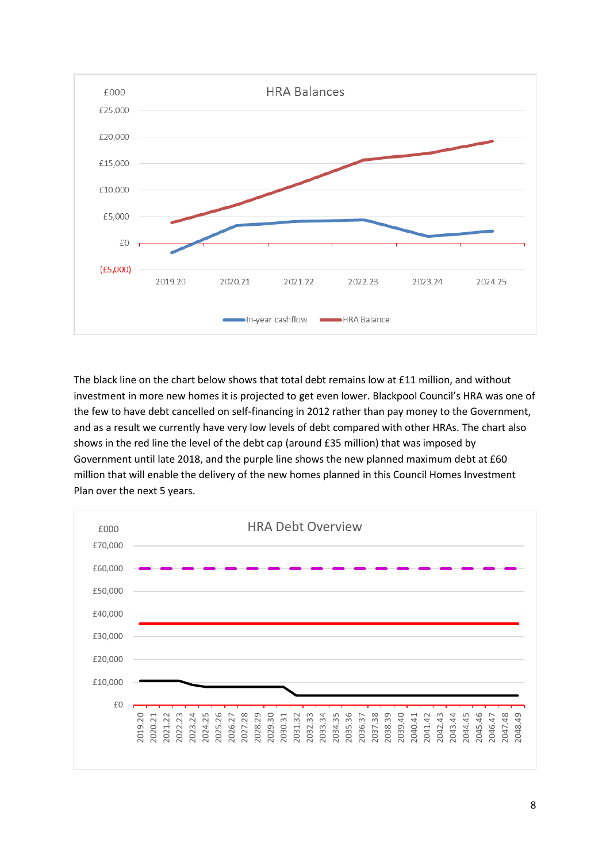

The black line on the chart below shows that total debt remains low at £11 million, and without investment in more new homes it is projected to get even lower. Blackpool Council's HRA was one of the few to have debt cancelled on self-financing in 2012 rather than pay money to the Government, and as a result we currently have very low levels of debt compared with other HRAs. The chart also shows in the red line the level of the debt cap (around £35 million) that was imposed by Government until late 2018, and the purple line shows the new planned maximum debt at £60 million that will enable the delivery of the new homes planned in this Council Homes Investment Plan over the next 5 years.

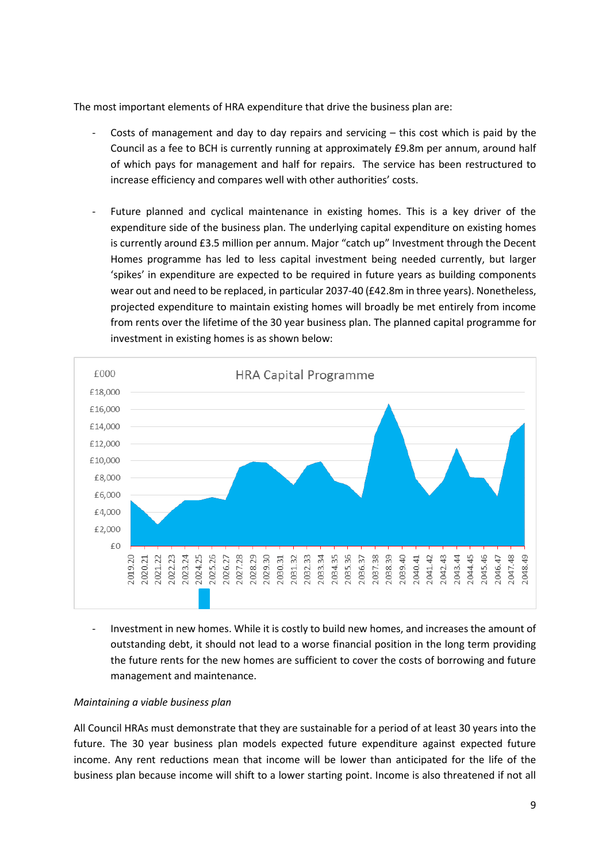The most important elements of HRA expenditure that drive the business plan are:

- Costs of management and day to day repairs and servicing  $-$  this cost which is paid by the Council as a fee to BCH is currently running at approximately £9.8m per annum, around half of which pays for management and half for repairs. The service has been restructured to increase efficiency and compares well with other authorities' costs.
- Future planned and cyclical maintenance in existing homes. This is a key driver of the expenditure side of the business plan. The underlying capital expenditure on existing homes is currently around £3.5 million per annum. Major "catch up" Investment through the Decent Homes programme has led to less capital investment being needed currently, but larger 'spikes' in expenditure are expected to be required in future years as building components wear out and need to be replaced, in particular 2037-40 (£42.8m in three years). Nonetheless, projected expenditure to maintain existing homes will broadly be met entirely from income from rents over the lifetime of the 30 year business plan. The planned capital programme for investment in existing homes is as shown below:



Investment in new homes. While it is costly to build new homes, and increases the amount of outstanding debt, it should not lead to a worse financial position in the long term providing the future rents for the new homes are sufficient to cover the costs of borrowing and future management and maintenance.

#### *Maintaining a viable business plan*

All Council HRAs must demonstrate that they are sustainable for a period of at least 30 years into the future. The 30 year business plan models expected future expenditure against expected future income. Any rent reductions mean that income will be lower than anticipated for the life of the business plan because income will shift to a lower starting point. Income is also threatened if not all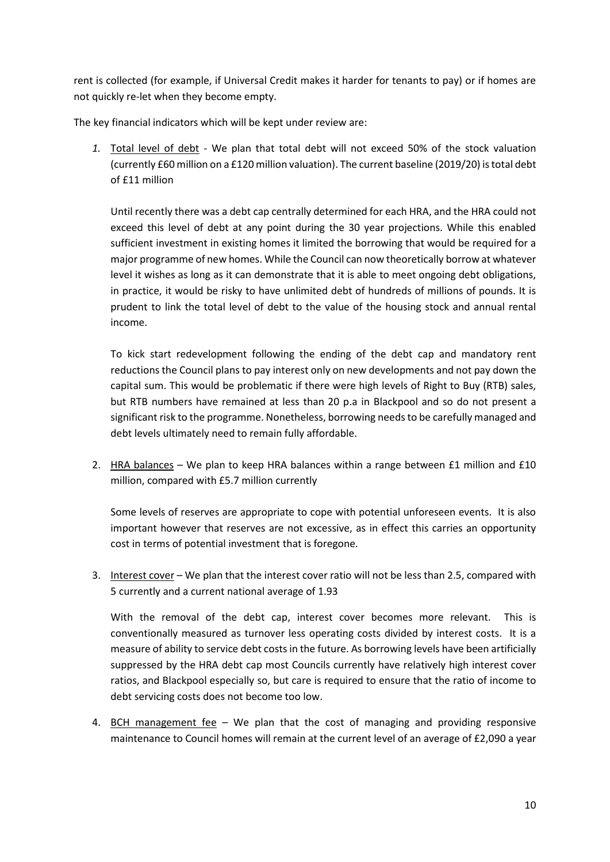rent is collected (for example, if Universal Credit makes it harder for tenants to pay) or if homes are not quickly re-let when they become empty.

The key financial indicators which will be kept under review are:

*1.* Total level of debt - We plan that total debt will not exceed 50% of the stock valuation (currently £60 million on a £120 million valuation). The current baseline (2019/20) is total debt of £11 million

Until recently there was a debt cap centrally determined for each HRA, and the HRA could not exceed this level of debt at any point during the 30 year projections. While this enabled sufficient investment in existing homes it limited the borrowing that would be required for a major programme of new homes. While the Council can now theoretically borrow at whatever level it wishes as long as it can demonstrate that it is able to meet ongoing debt obligations, in practice, it would be risky to have unlimited debt of hundreds of millions of pounds. It is prudent to link the total level of debt to the value of the housing stock and annual rental income.

To kick start redevelopment following the ending of the debt cap and mandatory rent reductions the Council plans to pay interest only on new developments and not pay down the capital sum. This would be problematic if there were high levels of Right to Buy (RTB) sales, but RTB numbers have remained at less than 20 p.a in Blackpool and so do not present a significant risk to the programme. Nonetheless, borrowing needs to be carefully managed and debt levels ultimately need to remain fully affordable.

2. HRA balances – We plan to keep HRA balances within a range between  $£1$  million and  $£10$ million, compared with £5.7 million currently

Some levels of reserves are appropriate to cope with potential unforeseen events. It is also important however that reserves are not excessive, as in effect this carries an opportunity cost in terms of potential investment that is foregone.

3. Interest cover – We plan that the interest cover ratio will not be less than 2.5, compared with 5 currently and a current national average of 1.93

With the removal of the debt cap, interest cover becomes more relevant. This is conventionally measured as turnover less operating costs divided by interest costs. It is a measure of ability to service debt costs in the future. As borrowing levels have been artificially suppressed by the HRA debt cap most Councils currently have relatively high interest cover ratios, and Blackpool especially so, but care is required to ensure that the ratio of income to debt servicing costs does not become too low.

4. BCH management fee – We plan that the cost of managing and providing responsive maintenance to Council homes will remain at the current level of an average of £2,090 a year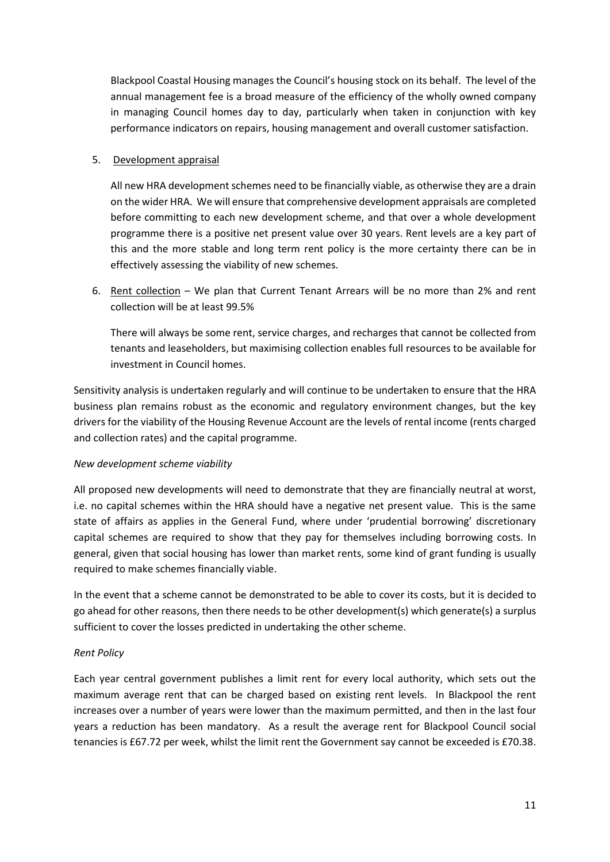Blackpool Coastal Housing manages the Council's housing stock on its behalf. The level of the annual management fee is a broad measure of the efficiency of the wholly owned company in managing Council homes day to day, particularly when taken in conjunction with key performance indicators on repairs, housing management and overall customer satisfaction.

### 5. Development appraisal

All new HRA development schemes need to be financially viable, as otherwise they are a drain on the wider HRA. We will ensure that comprehensive development appraisals are completed before committing to each new development scheme, and that over a whole development programme there is a positive net present value over 30 years. Rent levels are a key part of this and the more stable and long term rent policy is the more certainty there can be in effectively assessing the viability of new schemes.

6. Rent collection – We plan that Current Tenant Arrears will be no more than 2% and rent collection will be at least 99.5%

There will always be some rent, service charges, and recharges that cannot be collected from tenants and leaseholders, but maximising collection enables full resources to be available for investment in Council homes.

Sensitivity analysis is undertaken regularly and will continue to be undertaken to ensure that the HRA business plan remains robust as the economic and regulatory environment changes, but the key drivers for the viability of the Housing Revenue Account are the levels of rental income (rents charged and collection rates) and the capital programme.

### *New development scheme viability*

All proposed new developments will need to demonstrate that they are financially neutral at worst, i.e. no capital schemes within the HRA should have a negative net present value. This is the same state of affairs as applies in the General Fund, where under 'prudential borrowing' discretionary capital schemes are required to show that they pay for themselves including borrowing costs. In general, given that social housing has lower than market rents, some kind of grant funding is usually required to make schemes financially viable.

In the event that a scheme cannot be demonstrated to be able to cover its costs, but it is decided to go ahead for other reasons, then there needs to be other development(s) which generate(s) a surplus sufficient to cover the losses predicted in undertaking the other scheme.

### *Rent Policy*

Each year central government publishes a limit rent for every local authority, which sets out the maximum average rent that can be charged based on existing rent levels. In Blackpool the rent increases over a number of years were lower than the maximum permitted, and then in the last four years a reduction has been mandatory. As a result the average rent for Blackpool Council social tenancies is £67.72 per week, whilst the limit rent the Government say cannot be exceeded is £70.38.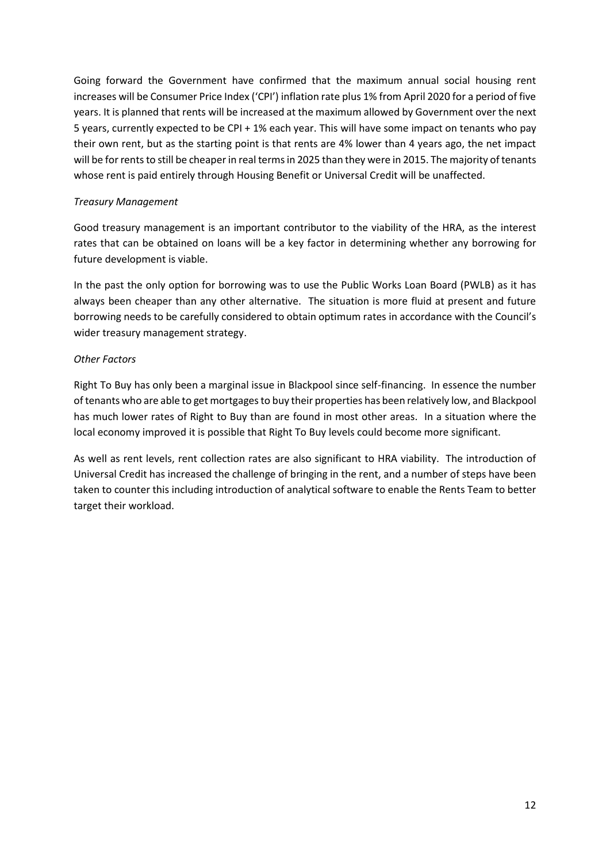Going forward the Government have confirmed that the maximum annual social housing rent increases will be Consumer Price Index ('CPI') inflation rate plus 1% from April 2020 for a period of five years. It is planned that rents will be increased at the maximum allowed by Government over the next 5 years, currently expected to be CPI + 1% each year. This will have some impact on tenants who pay their own rent, but as the starting point is that rents are 4% lower than 4 years ago, the net impact will be for rents to still be cheaper in real terms in 2025 than they were in 2015. The majority of tenants whose rent is paid entirely through Housing Benefit or Universal Credit will be unaffected.

### *Treasury Management*

Good treasury management is an important contributor to the viability of the HRA, as the interest rates that can be obtained on loans will be a key factor in determining whether any borrowing for future development is viable.

In the past the only option for borrowing was to use the Public Works Loan Board (PWLB) as it has always been cheaper than any other alternative. The situation is more fluid at present and future borrowing needs to be carefully considered to obtain optimum rates in accordance with the Council's wider treasury management strategy.

## *Other Factors*

Right To Buy has only been a marginal issue in Blackpool since self-financing. In essence the number of tenants who are able to get mortgages to buy their properties has been relatively low, and Blackpool has much lower rates of Right to Buy than are found in most other areas. In a situation where the local economy improved it is possible that Right To Buy levels could become more significant.

As well as rent levels, rent collection rates are also significant to HRA viability. The introduction of Universal Credit has increased the challenge of bringing in the rent, and a number of steps have been taken to counter this including introduction of analytical software to enable the Rents Team to better target their workload.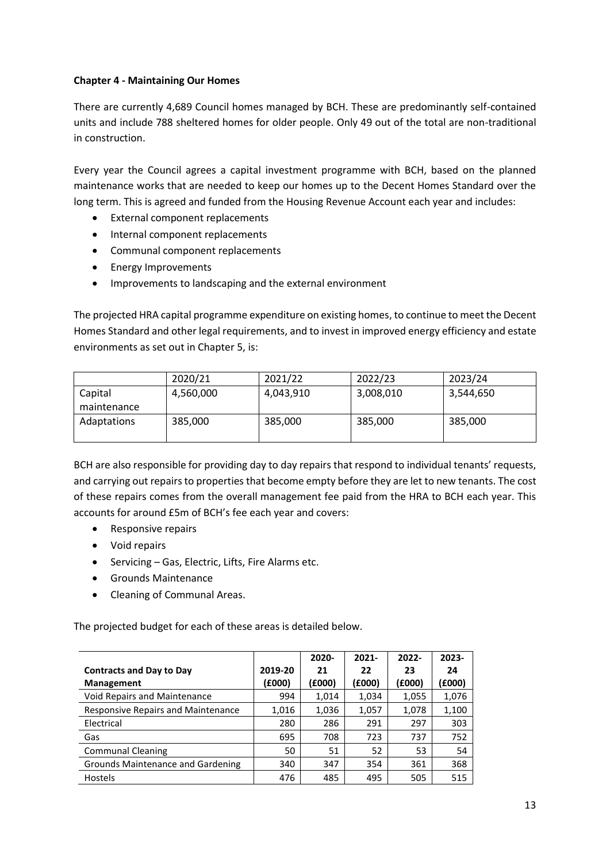### **Chapter 4 - Maintaining Our Homes**

There are currently 4,689 Council homes managed by BCH. These are predominantly self-contained units and include 788 sheltered homes for older people. Only 49 out of the total are non-traditional in construction.

Every year the Council agrees a capital investment programme with BCH, based on the planned maintenance works that are needed to keep our homes up to the Decent Homes Standard over the long term. This is agreed and funded from the Housing Revenue Account each year and includes:

- External component replacements
- Internal component replacements
- Communal component replacements
- Energy Improvements
- Improvements to landscaping and the external environment

The projected HRA capital programme expenditure on existing homes, to continue to meet the Decent Homes Standard and other legal requirements, and to invest in improved energy efficiency and estate environments as set out in Chapter 5, is:

|                        | 2020/21   | 2021/22   | 2022/23   | 2023/24   |
|------------------------|-----------|-----------|-----------|-----------|
| Capital<br>maintenance | 4,560,000 | 4,043,910 | 3,008,010 | 3,544,650 |
| Adaptations            | 385,000   | 385,000   | 385,000   | 385,000   |

BCH are also responsible for providing day to day repairs that respond to individual tenants' requests, and carrying out repairs to properties that become empty before they are let to new tenants. The cost of these repairs comes from the overall management fee paid from the HRA to BCH each year. This accounts for around £5m of BCH's fee each year and covers:

- Responsive repairs
- Void repairs
- Servicing Gas, Electric, Lifts, Fire Alarms etc.
- Grounds Maintenance
- Cleaning of Communal Areas.

The projected budget for each of these areas is detailed below.

|                                           |         | 2020-  | $2021 -$ | $2022 -$ | 2023-  |
|-------------------------------------------|---------|--------|----------|----------|--------|
| <b>Contracts and Day to Day</b>           | 2019-20 | 21     | 22       | 23       | 24     |
| Management                                | (£000)  | (£000) | (£000)   | (£000)   | (£000) |
| <b>Void Repairs and Maintenance</b>       | 994     | 1,014  | 1,034    | 1,055    | 1,076  |
| <b>Responsive Repairs and Maintenance</b> | 1,016   | 1,036  | 1,057    | 1,078    | 1,100  |
| Electrical                                | 280     | 286    | 291      | 297      | 303    |
| Gas                                       | 695     | 708    | 723      | 737      | 752    |
| <b>Communal Cleaning</b>                  | 50      | 51     | 52       | 53       | 54     |
| Grounds Maintenance and Gardening         | 340     | 347    | 354      | 361      | 368    |
| Hostels                                   | 476     | 485    | 495      | 505      | 515    |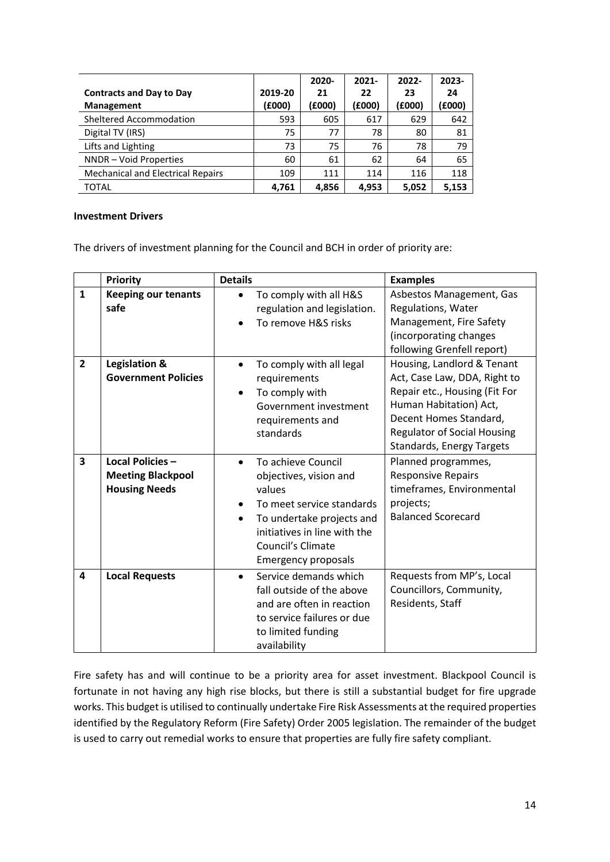|                                          |         | 2020-  | $2021 -$ | $2022 -$ | 2023-  |
|------------------------------------------|---------|--------|----------|----------|--------|
| <b>Contracts and Day to Day</b>          | 2019-20 | 21     | 22       | 23       | 24     |
| Management                               | (6000)  | (£000) | (£000)   | (£000)   | (£000) |
| <b>Sheltered Accommodation</b>           | 593     | 605    | 617      | 629      | 642    |
| Digital TV (IRS)                         | 75      | 77     | 78       | 80       | 81     |
| Lifts and Lighting                       | 73      | 75     | 76       | 78       | 79     |
| NNDR - Void Properties                   | 60      | 61     | 62       | 64       | 65     |
| <b>Mechanical and Electrical Repairs</b> | 109     | 111    | 114      | 116      | 118    |
| TOTAL                                    | 4,761   | 4,856  | 4.953    | 5,052    | 5.153  |

#### **Investment Drivers**

The drivers of investment planning for the Council and BCH in order of priority are:

|                | <b>Priority</b>                                                     | <b>Details</b>                                                                                                                                                                                                                | <b>Examples</b>                                                                                                                                                                                                           |
|----------------|---------------------------------------------------------------------|-------------------------------------------------------------------------------------------------------------------------------------------------------------------------------------------------------------------------------|---------------------------------------------------------------------------------------------------------------------------------------------------------------------------------------------------------------------------|
| $\mathbf{1}$   | <b>Keeping our tenants</b><br>safe                                  | To comply with all H&S<br>regulation and legislation.<br>To remove H&S risks                                                                                                                                                  | Asbestos Management, Gas<br>Regulations, Water<br>Management, Fire Safety<br>(incorporating changes<br>following Grenfell report)                                                                                         |
| $\overline{2}$ | Legislation &<br><b>Government Policies</b>                         | To comply with all legal<br>$\bullet$<br>requirements<br>To comply with<br>Government investment<br>requirements and<br>standards                                                                                             | Housing, Landlord & Tenant<br>Act, Case Law, DDA, Right to<br>Repair etc., Housing (Fit For<br>Human Habitation) Act,<br>Decent Homes Standard,<br><b>Regulator of Social Housing</b><br><b>Standards, Energy Targets</b> |
| 3              | Local Policies-<br><b>Meeting Blackpool</b><br><b>Housing Needs</b> | To achieve Council<br>$\bullet$<br>objectives, vision and<br>values<br>To meet service standards<br>To undertake projects and<br>$\bullet$<br>initiatives in line with the<br>Council's Climate<br><b>Emergency proposals</b> | Planned programmes,<br><b>Responsive Repairs</b><br>timeframes, Environmental<br>projects;<br><b>Balanced Scorecard</b>                                                                                                   |
| 4              | <b>Local Requests</b>                                               | Service demands which<br>$\bullet$<br>fall outside of the above<br>and are often in reaction<br>to service failures or due<br>to limited funding<br>availability                                                              | Requests from MP's, Local<br>Councillors, Community,<br>Residents, Staff                                                                                                                                                  |

Fire safety has and will continue to be a priority area for asset investment. Blackpool Council is fortunate in not having any high rise blocks, but there is still a substantial budget for fire upgrade works. This budget is utilised to continually undertake Fire Risk Assessments at the required properties identified by the Regulatory Reform (Fire Safety) Order 2005 legislation. The remainder of the budget is used to carry out remedial works to ensure that properties are fully fire safety compliant.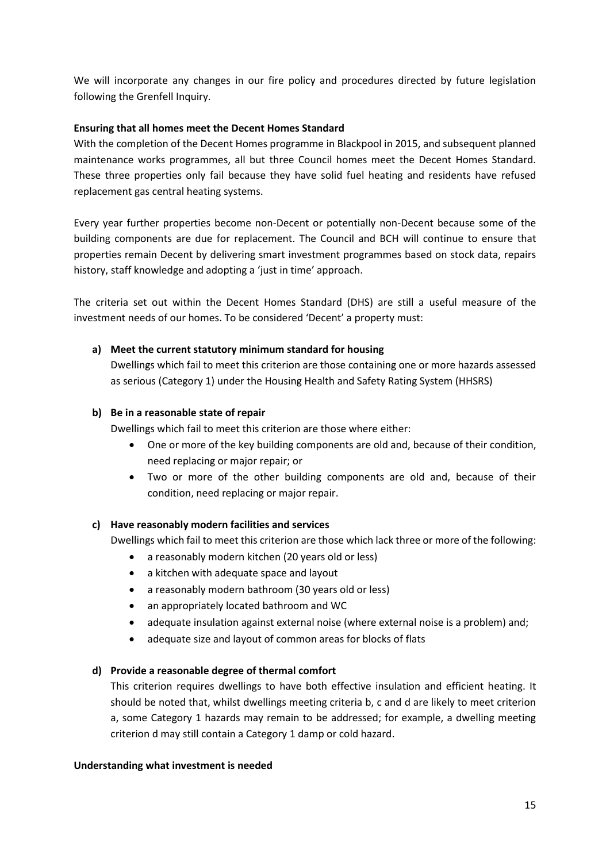We will incorporate any changes in our fire policy and procedures directed by future legislation following the Grenfell Inquiry.

### **Ensuring that all homes meet the Decent Homes Standard**

With the completion of the Decent Homes programme in Blackpool in 2015, and subsequent planned maintenance works programmes, all but three Council homes meet the Decent Homes Standard. These three properties only fail because they have solid fuel heating and residents have refused replacement gas central heating systems.

Every year further properties become non-Decent or potentially non-Decent because some of the building components are due for replacement. The Council and BCH will continue to ensure that properties remain Decent by delivering smart investment programmes based on stock data, repairs history, staff knowledge and adopting a 'just in time' approach.

The criteria set out within the Decent Homes Standard (DHS) are still a useful measure of the investment needs of our homes. To be considered 'Decent' a property must:

#### **a) Meet the current statutory minimum standard for housing**

Dwellings which fail to meet this criterion are those containing one or more hazards assessed as serious (Category 1) under the Housing Health and Safety Rating System (HHSRS)

#### **b) Be in a reasonable state of repair**

Dwellings which fail to meet this criterion are those where either:

- One or more of the key building components are old and, because of their condition, need replacing or major repair; or
- Two or more of the other building components are old and, because of their condition, need replacing or major repair.

### **c) Have reasonably modern facilities and services**

Dwellings which fail to meet this criterion are those which lack three or more of the following:

- a reasonably modern kitchen (20 years old or less)
- a kitchen with adequate space and layout
- a reasonably modern bathroom (30 years old or less)
- an appropriately located bathroom and WC
- adequate insulation against external noise (where external noise is a problem) and;
- adequate size and layout of common areas for blocks of flats

### **d) Provide a reasonable degree of thermal comfort**

This criterion requires dwellings to have both effective insulation and efficient heating. It should be noted that, whilst dwellings meeting criteria b, c and d are likely to meet criterion a, some Category 1 hazards may remain to be addressed; for example, a dwelling meeting criterion d may still contain a Category 1 damp or cold hazard.

#### **Understanding what investment is needed**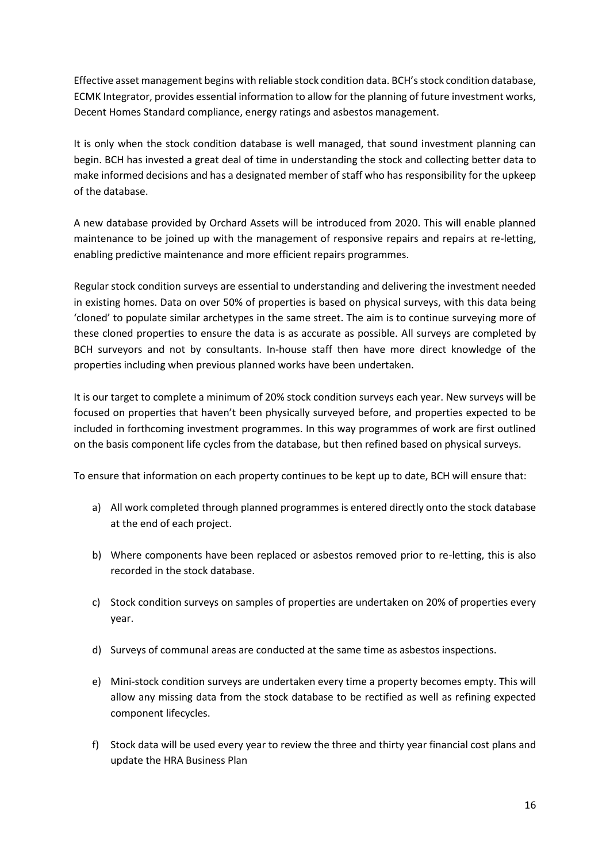Effective asset management begins with reliable stock condition data. BCH's stock condition database, ECMK Integrator, provides essential information to allow for the planning of future investment works, Decent Homes Standard compliance, energy ratings and asbestos management.

It is only when the stock condition database is well managed, that sound investment planning can begin. BCH has invested a great deal of time in understanding the stock and collecting better data to make informed decisions and has a designated member of staff who has responsibility for the upkeep of the database.

A new database provided by Orchard Assets will be introduced from 2020. This will enable planned maintenance to be joined up with the management of responsive repairs and repairs at re-letting, enabling predictive maintenance and more efficient repairs programmes.

Regular stock condition surveys are essential to understanding and delivering the investment needed in existing homes. Data on over 50% of properties is based on physical surveys, with this data being 'cloned' to populate similar archetypes in the same street. The aim is to continue surveying more of these cloned properties to ensure the data is as accurate as possible. All surveys are completed by BCH surveyors and not by consultants. In-house staff then have more direct knowledge of the properties including when previous planned works have been undertaken.

It is our target to complete a minimum of 20% stock condition surveys each year. New surveys will be focused on properties that haven't been physically surveyed before, and properties expected to be included in forthcoming investment programmes. In this way programmes of work are first outlined on the basis component life cycles from the database, but then refined based on physical surveys.

To ensure that information on each property continues to be kept up to date, BCH will ensure that:

- a) All work completed through planned programmes is entered directly onto the stock database at the end of each project.
- b) Where components have been replaced or asbestos removed prior to re-letting, this is also recorded in the stock database.
- c) Stock condition surveys on samples of properties are undertaken on 20% of properties every year.
- d) Surveys of communal areas are conducted at the same time as asbestos inspections.
- e) Mini-stock condition surveys are undertaken every time a property becomes empty. This will allow any missing data from the stock database to be rectified as well as refining expected component lifecycles.
- f) Stock data will be used every year to review the three and thirty year financial cost plans and update the HRA Business Plan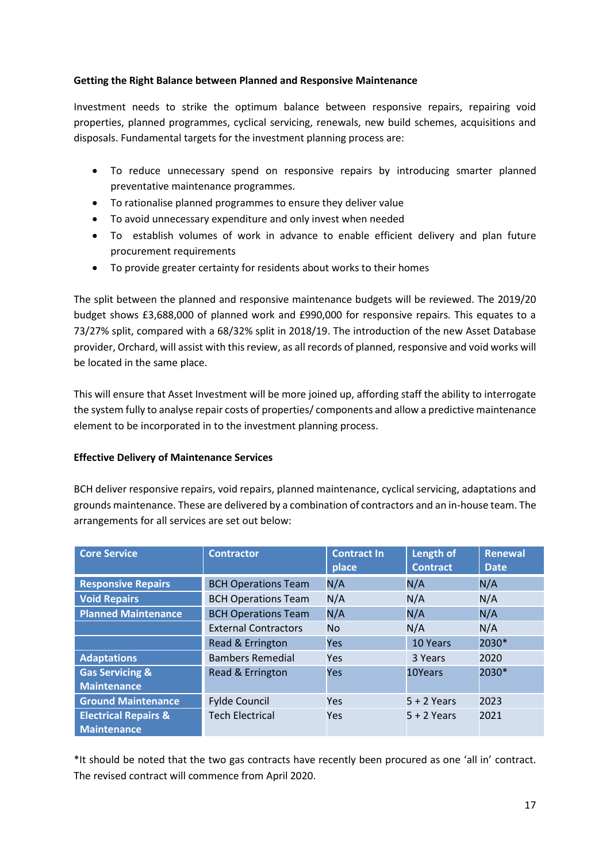### **Getting the Right Balance between Planned and Responsive Maintenance**

Investment needs to strike the optimum balance between responsive repairs, repairing void properties, planned programmes, cyclical servicing, renewals, new build schemes, acquisitions and disposals. Fundamental targets for the investment planning process are:

- To reduce unnecessary spend on responsive repairs by introducing smarter planned preventative maintenance programmes.
- To rationalise planned programmes to ensure they deliver value
- To avoid unnecessary expenditure and only invest when needed
- To establish volumes of work in advance to enable efficient delivery and plan future procurement requirements
- To provide greater certainty for residents about works to their homes

The split between the planned and responsive maintenance budgets will be reviewed. The 2019/20 budget shows £3,688,000 of planned work and £990,000 for responsive repairs. This equates to a 73/27% split, compared with a 68/32% split in 2018/19. The introduction of the new Asset Database provider, Orchard, will assist with thisreview, as all records of planned, responsive and void works will be located in the same place.

This will ensure that Asset Investment will be more joined up, affording staff the ability to interrogate the system fully to analyse repair costs of properties/ components and allow a predictive maintenance element to be incorporated in to the investment planning process.

### **Effective Delivery of Maintenance Services**

BCH deliver responsive repairs, void repairs, planned maintenance, cyclical servicing, adaptations and grounds maintenance. These are delivered by a combination of contractors and an in-house team. The arrangements for all services are set out below:

| <b>Core Service</b>                                   | <b>Contractor</b>           | <b>Contract In</b><br>place | Length of<br><b>Contract</b> | <b>Renewal</b><br><b>Date</b> |
|-------------------------------------------------------|-----------------------------|-----------------------------|------------------------------|-------------------------------|
| <b>Responsive Repairs</b>                             | <b>BCH Operations Team</b>  | N/A                         | N/A                          | N/A                           |
| <b>Void Repairs</b>                                   | <b>BCH Operations Team</b>  | N/A                         | N/A                          | N/A                           |
| <b>Planned Maintenance</b>                            | <b>BCH Operations Team</b>  | N/A                         | N/A                          | N/A                           |
|                                                       | <b>External Contractors</b> | No                          | N/A                          | N/A                           |
|                                                       | Read & Errington            | Yes                         | 10 Years                     | 2030*                         |
| <b>Adaptations</b>                                    | <b>Bambers Remedial</b>     | <b>Yes</b>                  | 3 Years                      | 2020                          |
| <b>Gas Servicing &amp;</b><br><b>Maintenance</b>      | Read & Errington            | <b>Yes</b>                  | 10Years                      | 2030*                         |
| <b>Ground Maintenance</b>                             | <b>Fylde Council</b>        | Yes.                        | $5 + 2$ Years                | 2023                          |
| <b>Electrical Repairs &amp;</b><br><b>Maintenance</b> | <b>Tech Electrical</b>      | <b>Yes</b>                  | $5 + 2$ Years                | 2021                          |

\*It should be noted that the two gas contracts have recently been procured as one 'all in' contract. The revised contract will commence from April 2020.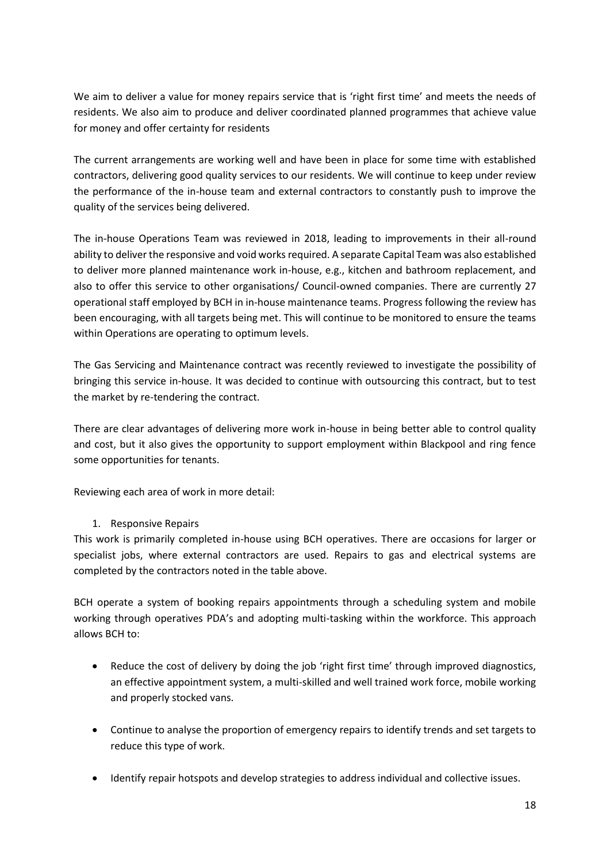We aim to deliver a value for money repairs service that is 'right first time' and meets the needs of residents. We also aim to produce and deliver coordinated planned programmes that achieve value for money and offer certainty for residents

The current arrangements are working well and have been in place for some time with established contractors, delivering good quality services to our residents. We will continue to keep under review the performance of the in-house team and external contractors to constantly push to improve the quality of the services being delivered.

The in-house Operations Team was reviewed in 2018, leading to improvements in their all-round ability to deliver the responsive and void works required. A separate Capital Team was also established to deliver more planned maintenance work in-house, e.g., kitchen and bathroom replacement, and also to offer this service to other organisations/ Council-owned companies. There are currently 27 operational staff employed by BCH in in-house maintenance teams. Progress following the review has been encouraging, with all targets being met. This will continue to be monitored to ensure the teams within Operations are operating to optimum levels.

The Gas Servicing and Maintenance contract was recently reviewed to investigate the possibility of bringing this service in-house. It was decided to continue with outsourcing this contract, but to test the market by re-tendering the contract.

There are clear advantages of delivering more work in-house in being better able to control quality and cost, but it also gives the opportunity to support employment within Blackpool and ring fence some opportunities for tenants.

Reviewing each area of work in more detail:

## 1. Responsive Repairs

This work is primarily completed in-house using BCH operatives. There are occasions for larger or specialist jobs, where external contractors are used. Repairs to gas and electrical systems are completed by the contractors noted in the table above.

BCH operate a system of booking repairs appointments through a scheduling system and mobile working through operatives PDA's and adopting multi-tasking within the workforce. This approach allows BCH to:

- Reduce the cost of delivery by doing the job 'right first time' through improved diagnostics, an effective appointment system, a multi-skilled and well trained work force, mobile working and properly stocked vans.
- Continue to analyse the proportion of emergency repairs to identify trends and set targets to reduce this type of work.
- Identify repair hotspots and develop strategies to address individual and collective issues.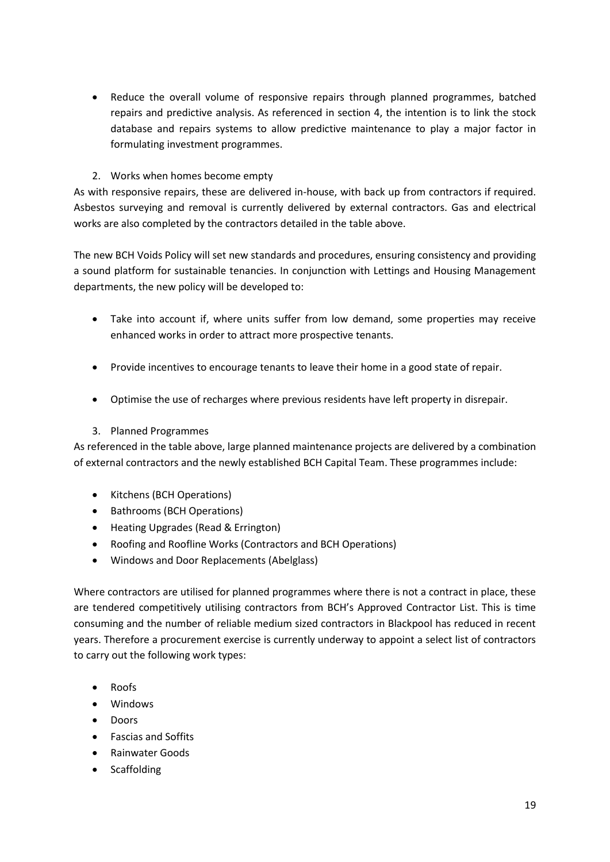- Reduce the overall volume of responsive repairs through planned programmes, batched repairs and predictive analysis. As referenced in section 4, the intention is to link the stock database and repairs systems to allow predictive maintenance to play a major factor in formulating investment programmes.
- 2. Works when homes become empty

As with responsive repairs, these are delivered in-house, with back up from contractors if required. Asbestos surveying and removal is currently delivered by external contractors. Gas and electrical works are also completed by the contractors detailed in the table above.

The new BCH Voids Policy will set new standards and procedures, ensuring consistency and providing a sound platform for sustainable tenancies. In conjunction with Lettings and Housing Management departments, the new policy will be developed to:

- Take into account if, where units suffer from low demand, some properties may receive enhanced works in order to attract more prospective tenants.
- Provide incentives to encourage tenants to leave their home in a good state of repair.
- Optimise the use of recharges where previous residents have left property in disrepair.
- 3. Planned Programmes

As referenced in the table above, large planned maintenance projects are delivered by a combination of external contractors and the newly established BCH Capital Team. These programmes include:

- Kitchens (BCH Operations)
- Bathrooms (BCH Operations)
- Heating Upgrades (Read & Errington)
- Roofing and Roofline Works (Contractors and BCH Operations)
- Windows and Door Replacements (Abelglass)

Where contractors are utilised for planned programmes where there is not a contract in place, these are tendered competitively utilising contractors from BCH's Approved Contractor List. This is time consuming and the number of reliable medium sized contractors in Blackpool has reduced in recent years. Therefore a procurement exercise is currently underway to appoint a select list of contractors to carry out the following work types:

- Roofs
- Windows
- Doors
- Fascias and Soffits
- Rainwater Goods
- Scaffolding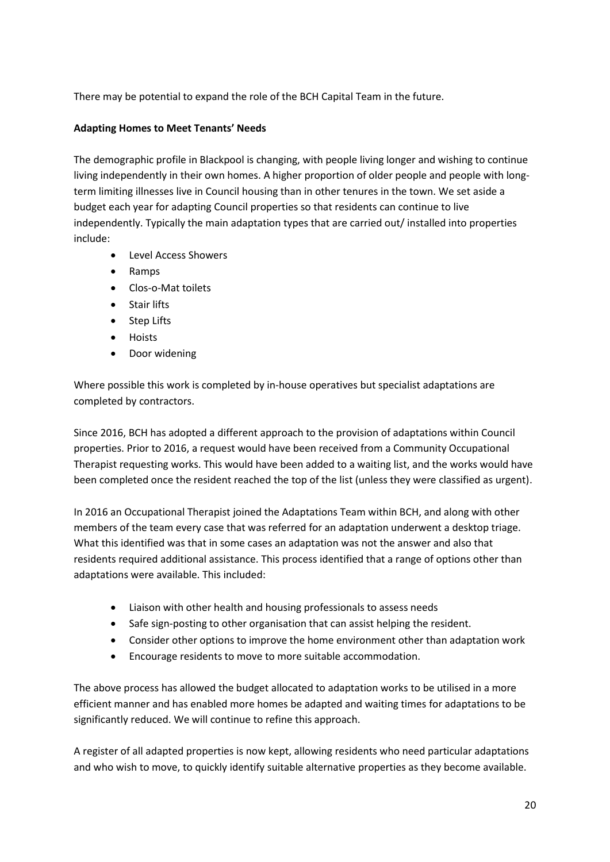There may be potential to expand the role of the BCH Capital Team in the future.

### **Adapting Homes to Meet Tenants' Needs**

The demographic profile in Blackpool is changing, with people living longer and wishing to continue living independently in their own homes. A higher proportion of older people and people with longterm limiting illnesses live in Council housing than in other tenures in the town. We set aside a budget each year for adapting Council properties so that residents can continue to live independently. Typically the main adaptation types that are carried out/ installed into properties include:

- Level Access Showers
- Ramps
- Clos-o-Mat toilets
- **•** Stair lifts
- Step Lifts
- Hoists
- Door widening

Where possible this work is completed by in-house operatives but specialist adaptations are completed by contractors.

Since 2016, BCH has adopted a different approach to the provision of adaptations within Council properties. Prior to 2016, a request would have been received from a Community Occupational Therapist requesting works. This would have been added to a waiting list, and the works would have been completed once the resident reached the top of the list (unless they were classified as urgent).

In 2016 an Occupational Therapist joined the Adaptations Team within BCH, and along with other members of the team every case that was referred for an adaptation underwent a desktop triage. What this identified was that in some cases an adaptation was not the answer and also that residents required additional assistance. This process identified that a range of options other than adaptations were available. This included:

- Liaison with other health and housing professionals to assess needs
- Safe sign-posting to other organisation that can assist helping the resident.
- Consider other options to improve the home environment other than adaptation work
- Encourage residents to move to more suitable accommodation.

The above process has allowed the budget allocated to adaptation works to be utilised in a more efficient manner and has enabled more homes be adapted and waiting times for adaptations to be significantly reduced. We will continue to refine this approach.

A register of all adapted properties is now kept, allowing residents who need particular adaptations and who wish to move, to quickly identify suitable alternative properties as they become available.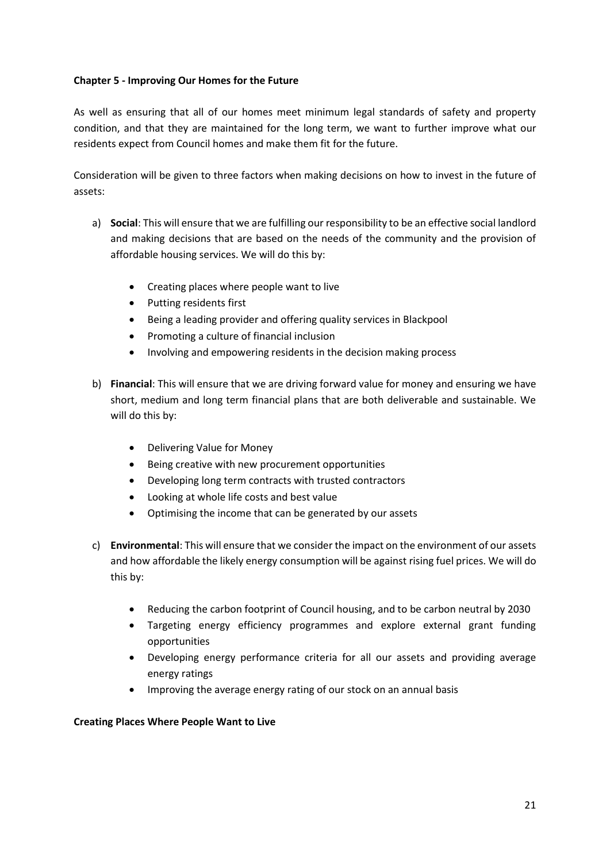### **Chapter 5 - Improving Our Homes for the Future**

As well as ensuring that all of our homes meet minimum legal standards of safety and property condition, and that they are maintained for the long term, we want to further improve what our residents expect from Council homes and make them fit for the future.

Consideration will be given to three factors when making decisions on how to invest in the future of assets:

- a) **Social**: This will ensure that we are fulfilling our responsibility to be an effective social landlord and making decisions that are based on the needs of the community and the provision of affordable housing services. We will do this by:
	- Creating places where people want to live
	- Putting residents first
	- Being a leading provider and offering quality services in Blackpool
	- Promoting a culture of financial inclusion
	- Involving and empowering residents in the decision making process
- b) **Financial**: This will ensure that we are driving forward value for money and ensuring we have short, medium and long term financial plans that are both deliverable and sustainable. We will do this by:
	- Delivering Value for Money
	- Being creative with new procurement opportunities
	- Developing long term contracts with trusted contractors
	- Looking at whole life costs and best value
	- Optimising the income that can be generated by our assets
- c) **Environmental**: This will ensure that we consider the impact on the environment of our assets and how affordable the likely energy consumption will be against rising fuel prices. We will do this by:
	- Reducing the carbon footprint of Council housing, and to be carbon neutral by 2030
	- Targeting energy efficiency programmes and explore external grant funding opportunities
	- Developing energy performance criteria for all our assets and providing average energy ratings
	- Improving the average energy rating of our stock on an annual basis

### **Creating Places Where People Want to Live**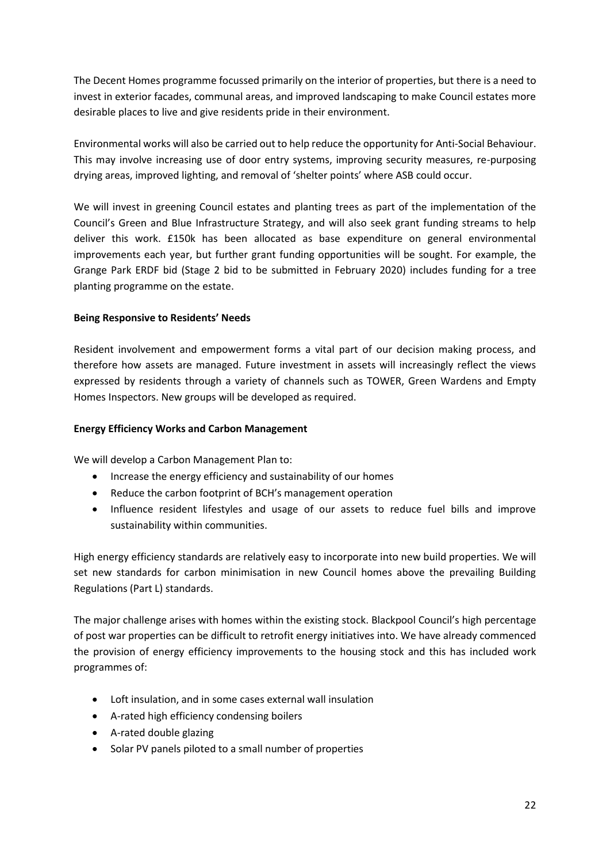The Decent Homes programme focussed primarily on the interior of properties, but there is a need to invest in exterior facades, communal areas, and improved landscaping to make Council estates more desirable places to live and give residents pride in their environment.

Environmental works will also be carried out to help reduce the opportunity for Anti-Social Behaviour. This may involve increasing use of door entry systems, improving security measures, re-purposing drying areas, improved lighting, and removal of 'shelter points' where ASB could occur.

We will invest in greening Council estates and planting trees as part of the implementation of the Council's Green and Blue Infrastructure Strategy, and will also seek grant funding streams to help deliver this work. £150k has been allocated as base expenditure on general environmental improvements each year, but further grant funding opportunities will be sought. For example, the Grange Park ERDF bid (Stage 2 bid to be submitted in February 2020) includes funding for a tree planting programme on the estate.

#### **Being Responsive to Residents' Needs**

Resident involvement and empowerment forms a vital part of our decision making process, and therefore how assets are managed. Future investment in assets will increasingly reflect the views expressed by residents through a variety of channels such as TOWER, Green Wardens and Empty Homes Inspectors. New groups will be developed as required.

#### **Energy Efficiency Works and Carbon Management**

We will develop a Carbon Management Plan to:

- Increase the energy efficiency and sustainability of our homes
- Reduce the carbon footprint of BCH's management operation
- Influence resident lifestyles and usage of our assets to reduce fuel bills and improve sustainability within communities.

High energy efficiency standards are relatively easy to incorporate into new build properties. We will set new standards for carbon minimisation in new Council homes above the prevailing Building Regulations (Part L) standards.

The major challenge arises with homes within the existing stock. Blackpool Council's high percentage of post war properties can be difficult to retrofit energy initiatives into. We have already commenced the provision of energy efficiency improvements to the housing stock and this has included work programmes of:

- Loft insulation, and in some cases external wall insulation
- A-rated high efficiency condensing boilers
- A-rated double glazing
- Solar PV panels piloted to a small number of properties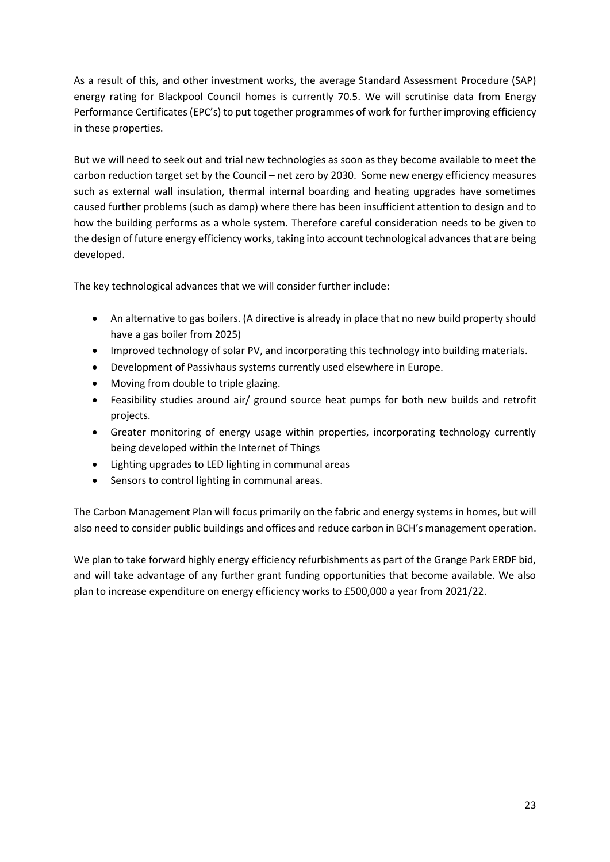As a result of this, and other investment works, the average Standard Assessment Procedure (SAP) energy rating for Blackpool Council homes is currently 70.5. We will scrutinise data from Energy Performance Certificates (EPC's) to put together programmes of work for further improving efficiency in these properties.

But we will need to seek out and trial new technologies as soon as they become available to meet the carbon reduction target set by the Council – net zero by 2030. Some new energy efficiency measures such as external wall insulation, thermal internal boarding and heating upgrades have sometimes caused further problems (such as damp) where there has been insufficient attention to design and to how the building performs as a whole system. Therefore careful consideration needs to be given to the design of future energy efficiency works, taking into account technological advances that are being developed.

The key technological advances that we will consider further include:

- An alternative to gas boilers. (A directive is already in place that no new build property should have a gas boiler from 2025)
- Improved technology of solar PV, and incorporating this technology into building materials.
- Development of Passivhaus systems currently used elsewhere in Europe.
- Moving from double to triple glazing.
- Feasibility studies around air/ ground source heat pumps for both new builds and retrofit projects.
- Greater monitoring of energy usage within properties, incorporating technology currently being developed within the Internet of Things
- Lighting upgrades to LED lighting in communal areas
- Sensors to control lighting in communal areas.

The Carbon Management Plan will focus primarily on the fabric and energy systems in homes, but will also need to consider public buildings and offices and reduce carbon in BCH's management operation.

We plan to take forward highly energy efficiency refurbishments as part of the Grange Park ERDF bid, and will take advantage of any further grant funding opportunities that become available. We also plan to increase expenditure on energy efficiency works to £500,000 a year from 2021/22.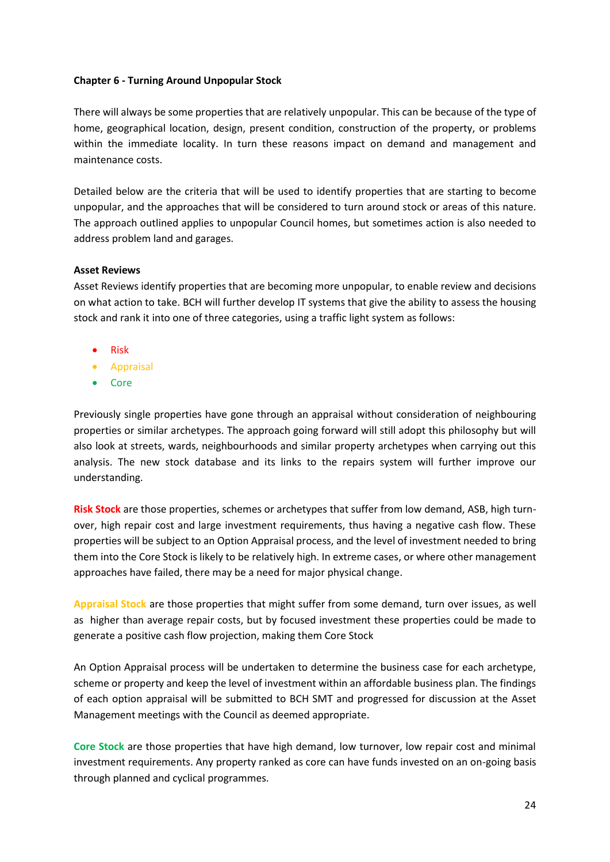#### **Chapter 6 - Turning Around Unpopular Stock**

There will always be some properties that are relatively unpopular. This can be because of the type of home, geographical location, design, present condition, construction of the property, or problems within the immediate locality. In turn these reasons impact on demand and management and maintenance costs.

Detailed below are the criteria that will be used to identify properties that are starting to become unpopular, and the approaches that will be considered to turn around stock or areas of this nature. The approach outlined applies to unpopular Council homes, but sometimes action is also needed to address problem land and garages.

#### **Asset Reviews**

Asset Reviews identify properties that are becoming more unpopular, to enable review and decisions on what action to take. BCH will further develop IT systems that give the ability to assess the housing stock and rank it into one of three categories, using a traffic light system as follows:

- Risk
- **•** Appraisal
- Core

Previously single properties have gone through an appraisal without consideration of neighbouring properties or similar archetypes. The approach going forward will still adopt this philosophy but will also look at streets, wards, neighbourhoods and similar property archetypes when carrying out this analysis. The new stock database and its links to the repairs system will further improve our understanding.

**Risk Stock** are those properties, schemes or archetypes that suffer from low demand, ASB, high turnover, high repair cost and large investment requirements, thus having a negative cash flow. These properties will be subject to an Option Appraisal process, and the level of investment needed to bring them into the Core Stock is likely to be relatively high. In extreme cases, or where other management approaches have failed, there may be a need for major physical change.

**Appraisal Stock** are those properties that might suffer from some demand, turn over issues, as well as higher than average repair costs, but by focused investment these properties could be made to generate a positive cash flow projection, making them Core Stock

An Option Appraisal process will be undertaken to determine the business case for each archetype, scheme or property and keep the level of investment within an affordable business plan. The findings of each option appraisal will be submitted to BCH SMT and progressed for discussion at the Asset Management meetings with the Council as deemed appropriate.

**Core Stock** are those properties that have high demand, low turnover, low repair cost and minimal investment requirements. Any property ranked as core can have funds invested on an on-going basis through planned and cyclical programmes.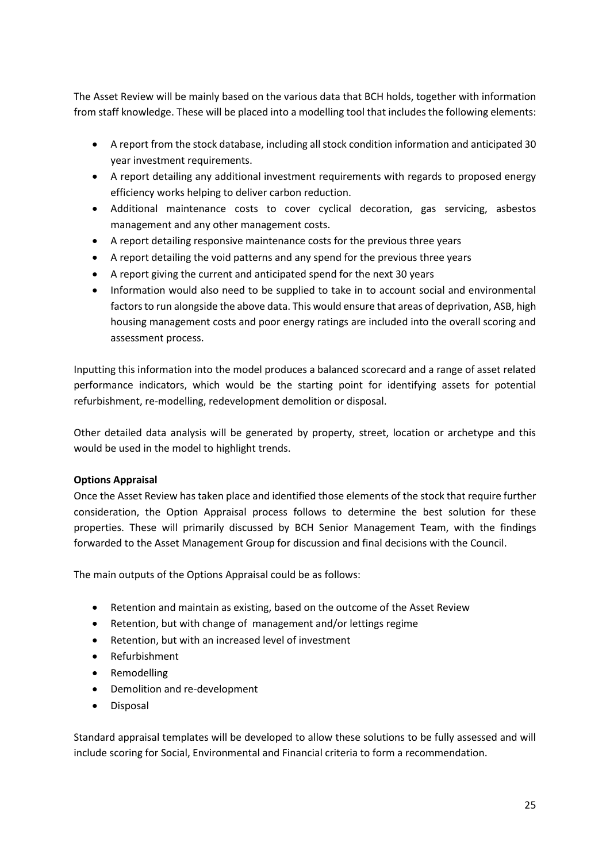The Asset Review will be mainly based on the various data that BCH holds, together with information from staff knowledge. These will be placed into a modelling tool that includes the following elements:

- A report from the stock database, including all stock condition information and anticipated 30 year investment requirements.
- A report detailing any additional investment requirements with regards to proposed energy efficiency works helping to deliver carbon reduction.
- Additional maintenance costs to cover cyclical decoration, gas servicing, asbestos management and any other management costs.
- A report detailing responsive maintenance costs for the previous three years
- A report detailing the void patterns and any spend for the previous three years
- A report giving the current and anticipated spend for the next 30 years
- Information would also need to be supplied to take in to account social and environmental factors to run alongside the above data. This would ensure that areas of deprivation, ASB, high housing management costs and poor energy ratings are included into the overall scoring and assessment process.

Inputting this information into the model produces a balanced scorecard and a range of asset related performance indicators, which would be the starting point for identifying assets for potential refurbishment, re-modelling, redevelopment demolition or disposal.

Other detailed data analysis will be generated by property, street, location or archetype and this would be used in the model to highlight trends.

### **Options Appraisal**

Once the Asset Review has taken place and identified those elements of the stock that require further consideration, the Option Appraisal process follows to determine the best solution for these properties. These will primarily discussed by BCH Senior Management Team, with the findings forwarded to the Asset Management Group for discussion and final decisions with the Council.

The main outputs of the Options Appraisal could be as follows:

- Retention and maintain as existing, based on the outcome of the Asset Review
- Retention, but with change of management and/or lettings regime
- Retention, but with an increased level of investment
- Refurbishment
- Remodelling
- Demolition and re-development
- Disposal

Standard appraisal templates will be developed to allow these solutions to be fully assessed and will include scoring for Social, Environmental and Financial criteria to form a recommendation.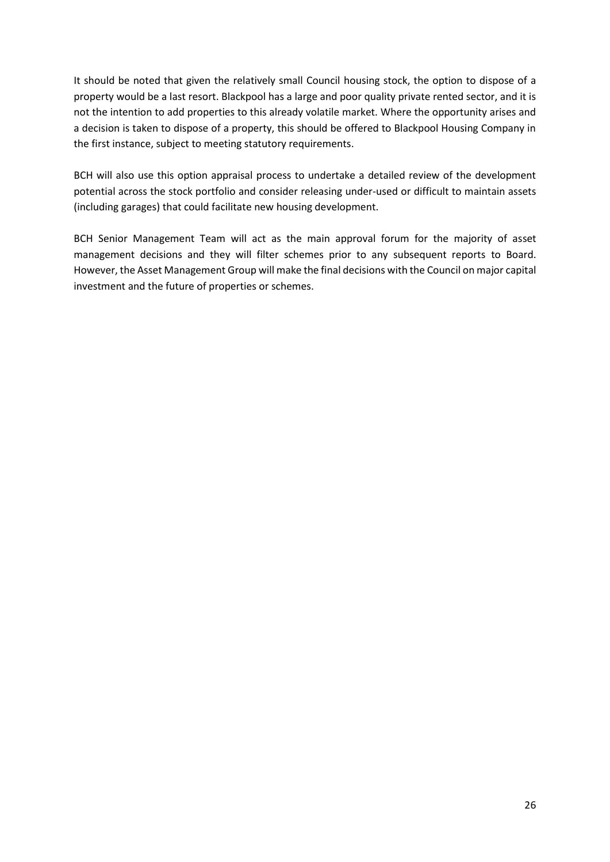It should be noted that given the relatively small Council housing stock, the option to dispose of a property would be a last resort. Blackpool has a large and poor quality private rented sector, and it is not the intention to add properties to this already volatile market. Where the opportunity arises and a decision is taken to dispose of a property, this should be offered to Blackpool Housing Company in the first instance, subject to meeting statutory requirements.

BCH will also use this option appraisal process to undertake a detailed review of the development potential across the stock portfolio and consider releasing under-used or difficult to maintain assets (including garages) that could facilitate new housing development.

BCH Senior Management Team will act as the main approval forum for the majority of asset management decisions and they will filter schemes prior to any subsequent reports to Board. However, the Asset Management Group will make the final decisions with the Council on major capital investment and the future of properties or schemes.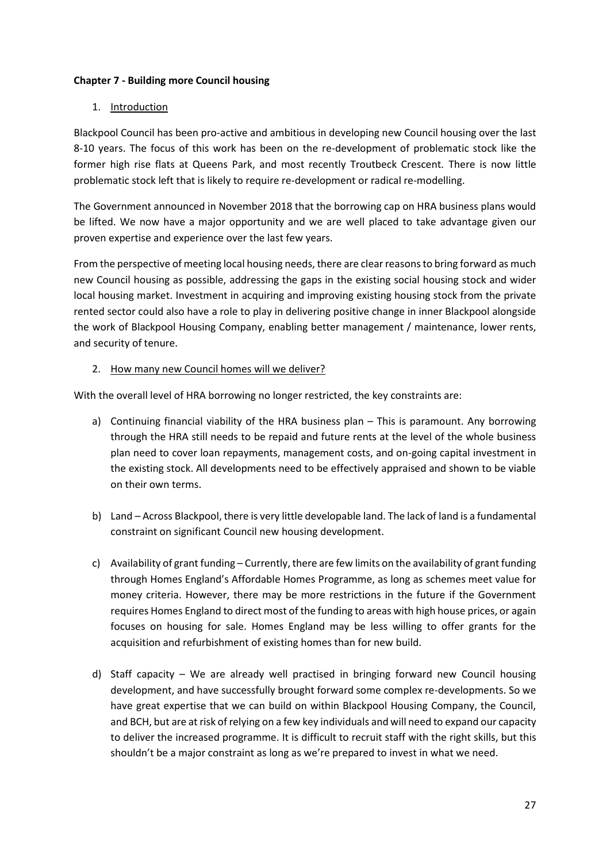### **Chapter 7 - Building more Council housing**

## 1. Introduction

Blackpool Council has been pro-active and ambitious in developing new Council housing over the last 8-10 years. The focus of this work has been on the re-development of problematic stock like the former high rise flats at Queens Park, and most recently Troutbeck Crescent. There is now little problematic stock left that is likely to require re-development or radical re-modelling.

The Government announced in November 2018 that the borrowing cap on HRA business plans would be lifted. We now have a major opportunity and we are well placed to take advantage given our proven expertise and experience over the last few years.

From the perspective of meeting local housing needs, there are clear reasons to bring forward as much new Council housing as possible, addressing the gaps in the existing social housing stock and wider local housing market. Investment in acquiring and improving existing housing stock from the private rented sector could also have a role to play in delivering positive change in inner Blackpool alongside the work of Blackpool Housing Company, enabling better management / maintenance, lower rents, and security of tenure.

## 2. How many new Council homes will we deliver?

With the overall level of HRA borrowing no longer restricted, the key constraints are:

- a) Continuing financial viability of the HRA business plan This is paramount. Any borrowing through the HRA still needs to be repaid and future rents at the level of the whole business plan need to cover loan repayments, management costs, and on-going capital investment in the existing stock. All developments need to be effectively appraised and shown to be viable on their own terms.
- b) Land Across Blackpool, there is very little developable land. The lack of land is a fundamental constraint on significant Council new housing development.
- c) Availability of grant funding Currently, there are few limits on the availability of grant funding through Homes England's Affordable Homes Programme, as long as schemes meet value for money criteria. However, there may be more restrictions in the future if the Government requires Homes England to direct most of the funding to areas with high house prices, or again focuses on housing for sale. Homes England may be less willing to offer grants for the acquisition and refurbishment of existing homes than for new build.
- d) Staff capacity We are already well practised in bringing forward new Council housing development, and have successfully brought forward some complex re-developments. So we have great expertise that we can build on within Blackpool Housing Company, the Council, and BCH, but are at risk of relying on a few key individuals and will need to expand our capacity to deliver the increased programme. It is difficult to recruit staff with the right skills, but this shouldn't be a major constraint as long as we're prepared to invest in what we need.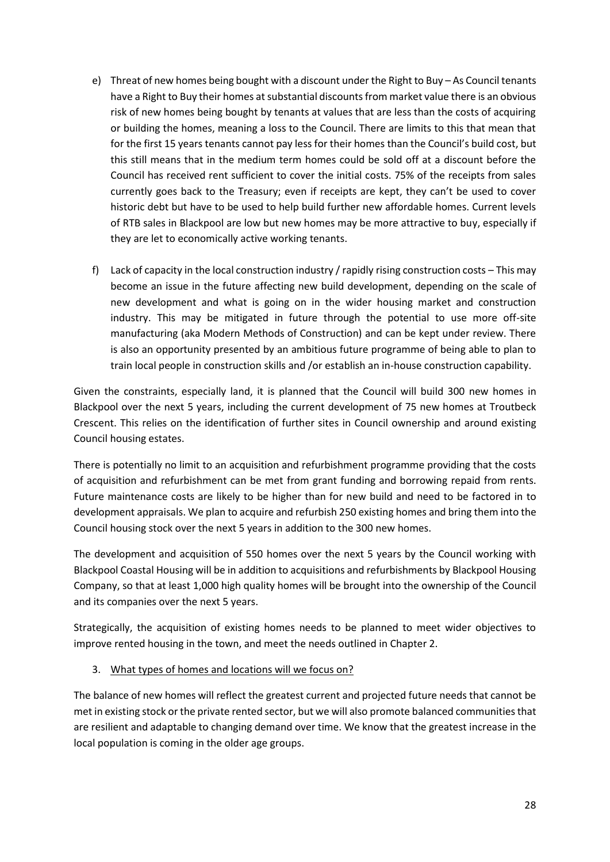- e) Threat of new homes being bought with a discount under the Right to Buy As Council tenants have a Right to Buy their homes at substantial discounts from market value there is an obvious risk of new homes being bought by tenants at values that are less than the costs of acquiring or building the homes, meaning a loss to the Council. There are limits to this that mean that for the first 15 years tenants cannot pay less for their homes than the Council's build cost, but this still means that in the medium term homes could be sold off at a discount before the Council has received rent sufficient to cover the initial costs. 75% of the receipts from sales currently goes back to the Treasury; even if receipts are kept, they can't be used to cover historic debt but have to be used to help build further new affordable homes. Current levels of RTB sales in Blackpool are low but new homes may be more attractive to buy, especially if they are let to economically active working tenants.
- f) Lack of capacity in the local construction industry / rapidly rising construction costs This may become an issue in the future affecting new build development, depending on the scale of new development and what is going on in the wider housing market and construction industry. This may be mitigated in future through the potential to use more off-site manufacturing (aka Modern Methods of Construction) and can be kept under review. There is also an opportunity presented by an ambitious future programme of being able to plan to train local people in construction skills and /or establish an in-house construction capability.

Given the constraints, especially land, it is planned that the Council will build 300 new homes in Blackpool over the next 5 years, including the current development of 75 new homes at Troutbeck Crescent. This relies on the identification of further sites in Council ownership and around existing Council housing estates.

There is potentially no limit to an acquisition and refurbishment programme providing that the costs of acquisition and refurbishment can be met from grant funding and borrowing repaid from rents. Future maintenance costs are likely to be higher than for new build and need to be factored in to development appraisals. We plan to acquire and refurbish 250 existing homes and bring them into the Council housing stock over the next 5 years in addition to the 300 new homes.

The development and acquisition of 550 homes over the next 5 years by the Council working with Blackpool Coastal Housing will be in addition to acquisitions and refurbishments by Blackpool Housing Company, so that at least 1,000 high quality homes will be brought into the ownership of the Council and its companies over the next 5 years.

Strategically, the acquisition of existing homes needs to be planned to meet wider objectives to improve rented housing in the town, and meet the needs outlined in Chapter 2.

### 3. What types of homes and locations will we focus on?

The balance of new homes will reflect the greatest current and projected future needs that cannot be met in existing stock or the private rented sector, but we will also promote balanced communities that are resilient and adaptable to changing demand over time. We know that the greatest increase in the local population is coming in the older age groups.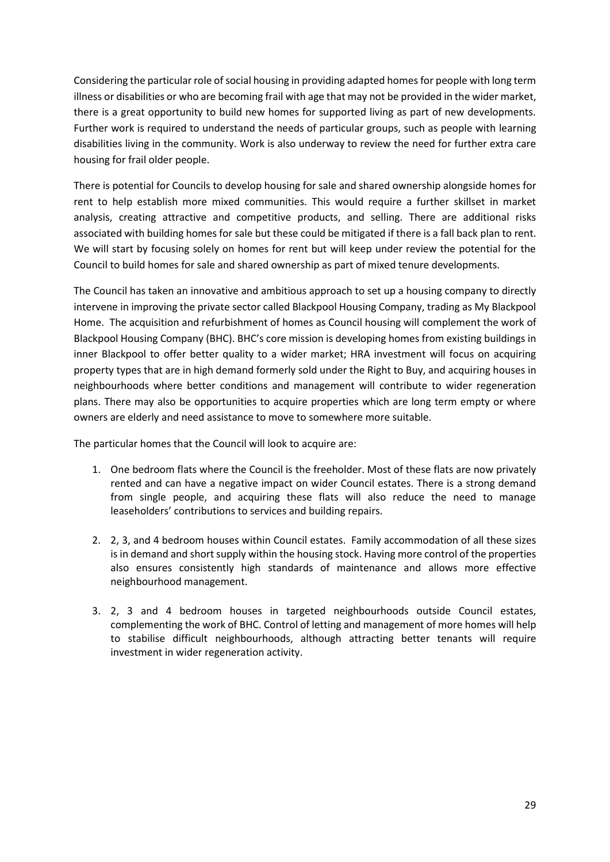Considering the particular role of social housing in providing adapted homes for people with long term illness or disabilities or who are becoming frail with age that may not be provided in the wider market, there is a great opportunity to build new homes for supported living as part of new developments. Further work is required to understand the needs of particular groups, such as people with learning disabilities living in the community. Work is also underway to review the need for further extra care housing for frail older people.

There is potential for Councils to develop housing for sale and shared ownership alongside homes for rent to help establish more mixed communities. This would require a further skillset in market analysis, creating attractive and competitive products, and selling. There are additional risks associated with building homes for sale but these could be mitigated if there is a fall back plan to rent. We will start by focusing solely on homes for rent but will keep under review the potential for the Council to build homes for sale and shared ownership as part of mixed tenure developments.

The Council has taken an innovative and ambitious approach to set up a housing company to directly intervene in improving the private sector called Blackpool Housing Company, trading as My Blackpool Home. The acquisition and refurbishment of homes as Council housing will complement the work of Blackpool Housing Company (BHC). BHC's core mission is developing homes from existing buildings in inner Blackpool to offer better quality to a wider market; HRA investment will focus on acquiring property types that are in high demand formerly sold under the Right to Buy, and acquiring houses in neighbourhoods where better conditions and management will contribute to wider regeneration plans. There may also be opportunities to acquire properties which are long term empty or where owners are elderly and need assistance to move to somewhere more suitable.

The particular homes that the Council will look to acquire are:

- 1. One bedroom flats where the Council is the freeholder. Most of these flats are now privately rented and can have a negative impact on wider Council estates. There is a strong demand from single people, and acquiring these flats will also reduce the need to manage leaseholders' contributions to services and building repairs.
- 2. 2, 3, and 4 bedroom houses within Council estates. Family accommodation of all these sizes is in demand and short supply within the housing stock. Having more control of the properties also ensures consistently high standards of maintenance and allows more effective neighbourhood management.
- 3. 2, 3 and 4 bedroom houses in targeted neighbourhoods outside Council estates, complementing the work of BHC. Control of letting and management of more homes will help to stabilise difficult neighbourhoods, although attracting better tenants will require investment in wider regeneration activity.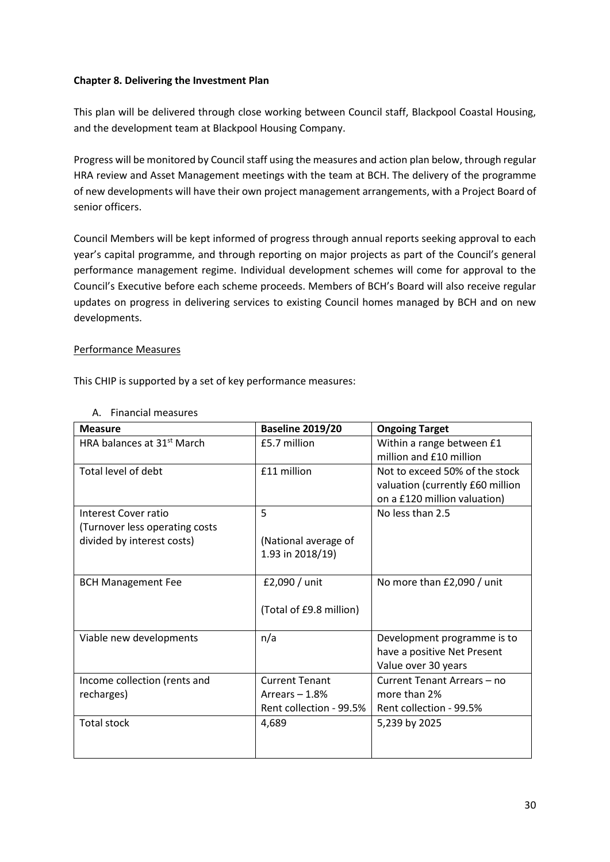### **Chapter 8. Delivering the Investment Plan**

This plan will be delivered through close working between Council staff, Blackpool Coastal Housing, and the development team at Blackpool Housing Company.

Progress will be monitored by Council staff using the measures and action plan below, through regular HRA review and Asset Management meetings with the team at BCH. The delivery of the programme of new developments will have their own project management arrangements, with a Project Board of senior officers.

Council Members will be kept informed of progress through annual reports seeking approval to each year's capital programme, and through reporting on major projects as part of the Council's general performance management regime. Individual development schemes will come for approval to the Council's Executive before each scheme proceeds. Members of BCH's Board will also receive regular updates on progress in delivering services to existing Council homes managed by BCH and on new developments.

#### Performance Measures

This CHIP is supported by a set of key performance measures:

| <b>Measure</b>                         | <b>Baseline 2019/20</b> | <b>Ongoing Target</b>            |
|----------------------------------------|-------------------------|----------------------------------|
| HRA balances at 31 <sup>st</sup> March | £5.7 million            | Within a range between £1        |
|                                        |                         | million and £10 million          |
| Total level of debt                    | £11 million             | Not to exceed 50% of the stock   |
|                                        |                         | valuation (currently £60 million |
|                                        |                         | on a £120 million valuation)     |
| Interest Cover ratio                   | 5                       | No less than 2.5                 |
| (Turnover less operating costs         |                         |                                  |
| divided by interest costs)             | (National average of    |                                  |
|                                        | 1.93 in 2018/19)        |                                  |
|                                        |                         |                                  |
| <b>BCH Management Fee</b>              | £2,090 / unit           | No more than £2,090 / unit       |
|                                        |                         |                                  |
|                                        | (Total of £9.8 million) |                                  |
|                                        |                         |                                  |
| Viable new developments                | n/a                     | Development programme is to      |
|                                        |                         | have a positive Net Present      |
|                                        |                         | Value over 30 years              |
| Income collection (rents and           | <b>Current Tenant</b>   | Current Tenant Arrears - no      |
| recharges)                             | Arrears $-1.8%$         | more than 2%                     |
|                                        | Rent collection - 99.5% | Rent collection - 99.5%          |
| <b>Total stock</b>                     | 4,689                   | 5,239 by 2025                    |
|                                        |                         |                                  |
|                                        |                         |                                  |

#### A. Financial measures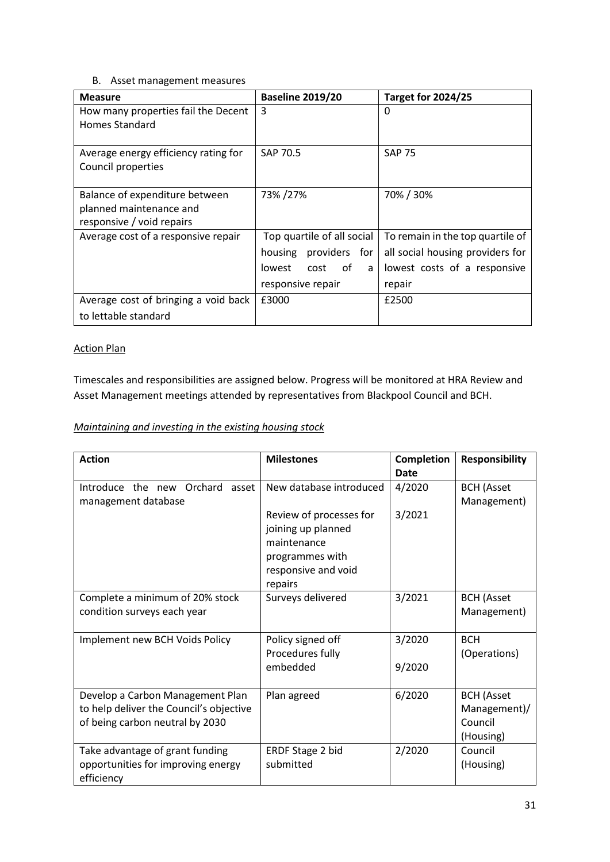### B. Asset management measures

| <b>Measure</b>                       | <b>Baseline 2019/20</b>    | <b>Target for 2024/25</b>        |
|--------------------------------------|----------------------------|----------------------------------|
| How many properties fail the Decent  | 3                          | 0                                |
| <b>Homes Standard</b>                |                            |                                  |
|                                      |                            |                                  |
| Average energy efficiency rating for | SAP 70.5                   | <b>SAP 75</b>                    |
| Council properties                   |                            |                                  |
|                                      |                            |                                  |
| Balance of expenditure between       | 73% / 27%                  | 70% / 30%                        |
| planned maintenance and              |                            |                                  |
| responsive / void repairs            |                            |                                  |
| Average cost of a responsive repair  | Top quartile of all social | To remain in the top quartile of |
|                                      | housing<br>providers for   | all social housing providers for |
|                                      | of<br>lowest<br>cost<br>a  | lowest costs of a responsive     |
|                                      | responsive repair          | repair                           |
| Average cost of bringing a void back | £3000                      | £2500                            |
| to lettable standard                 |                            |                                  |

### Action Plan

Timescales and responsibilities are assigned below. Progress will be monitored at HRA Review and Asset Management meetings attended by representatives from Blackpool Council and BCH.

### *Maintaining and investing in the existing housing stock*

| <b>Action</b>                                                                                                  | <b>Milestones</b>                                                                                                 | <b>Completion</b><br>Date | <b>Responsibility</b>                                     |
|----------------------------------------------------------------------------------------------------------------|-------------------------------------------------------------------------------------------------------------------|---------------------------|-----------------------------------------------------------|
| Introduce the new Orchard<br>asset<br>management database                                                      | New database introduced                                                                                           | 4/2020                    | <b>BCH</b> (Asset<br>Management)                          |
|                                                                                                                | Review of processes for<br>joining up planned<br>maintenance<br>programmes with<br>responsive and void<br>repairs | 3/2021                    |                                                           |
| Complete a minimum of 20% stock<br>condition surveys each year                                                 | Surveys delivered                                                                                                 | 3/2021                    | <b>BCH</b> (Asset<br>Management)                          |
| Implement new BCH Voids Policy                                                                                 | Policy signed off<br>Procedures fully<br>embedded                                                                 | 3/2020<br>9/2020          | <b>BCH</b><br>(Operations)                                |
| Develop a Carbon Management Plan<br>to help deliver the Council's objective<br>of being carbon neutral by 2030 | Plan agreed                                                                                                       | 6/2020                    | <b>BCH</b> (Asset<br>Management)/<br>Council<br>(Housing) |
| Take advantage of grant funding<br>opportunities for improving energy<br>efficiency                            | <b>ERDF Stage 2 bid</b><br>submitted                                                                              | 2/2020                    | Council<br>(Housing)                                      |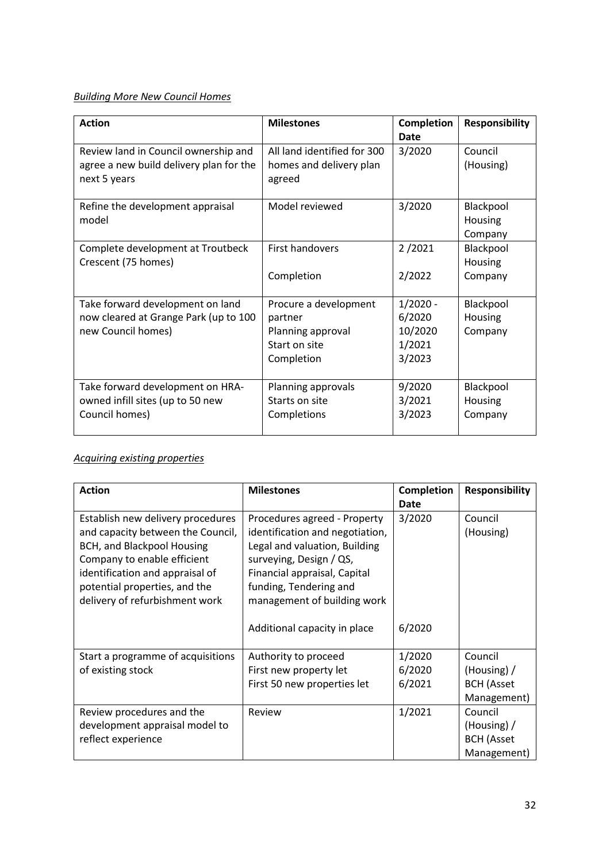# *Building More New Council Homes*

| <b>Action</b>                                                                                   | <b>Milestones</b>                                                                    | <b>Completion</b><br><b>Date</b>                    | <b>Responsibility</b>                  |
|-------------------------------------------------------------------------------------------------|--------------------------------------------------------------------------------------|-----------------------------------------------------|----------------------------------------|
| Review land in Council ownership and<br>agree a new build delivery plan for the<br>next 5 years | All land identified for 300<br>homes and delivery plan<br>agreed                     | 3/2020                                              | Council<br>(Housing)                   |
| Refine the development appraisal<br>model                                                       | Model reviewed                                                                       | 3/2020                                              | Blackpool<br>Housing<br>Company        |
| Complete development at Troutbeck<br>Crescent (75 homes)                                        | First handovers<br>Completion                                                        | 2/2021<br>2/2022                                    | Blackpool<br>Housing<br>Company        |
| Take forward development on land<br>now cleared at Grange Park (up to 100<br>new Council homes) | Procure a development<br>partner<br>Planning approval<br>Start on site<br>Completion | $1/2020 -$<br>6/2020<br>10/2020<br>1/2021<br>3/2023 | Blackpool<br>Housing<br>Company        |
| Take forward development on HRA-<br>owned infill sites (up to 50 new<br>Council homes)          | Planning approvals<br>Starts on site<br>Completions                                  | 9/2020<br>3/2021<br>3/2023                          | Blackpool<br><b>Housing</b><br>Company |

## *Acquiring existing properties*

| <b>Action</b>                                                                                                                                                                                                                                    | <b>Milestones</b>                                                                                                                                                                                                    | <b>Completion</b><br>Date  | <b>Responsibility</b>                                    |
|--------------------------------------------------------------------------------------------------------------------------------------------------------------------------------------------------------------------------------------------------|----------------------------------------------------------------------------------------------------------------------------------------------------------------------------------------------------------------------|----------------------------|----------------------------------------------------------|
| Establish new delivery procedures<br>and capacity between the Council,<br><b>BCH, and Blackpool Housing</b><br>Company to enable efficient<br>identification and appraisal of<br>potential properties, and the<br>delivery of refurbishment work | Procedures agreed - Property<br>identification and negotiation,<br>Legal and valuation, Building<br>surveying, Design / QS,<br>Financial appraisal, Capital<br>funding, Tendering and<br>management of building work | 3/2020                     | Council<br>(Housing)                                     |
|                                                                                                                                                                                                                                                  | Additional capacity in place                                                                                                                                                                                         | 6/2020                     |                                                          |
| Start a programme of acquisitions<br>of existing stock                                                                                                                                                                                           | Authority to proceed<br>First new property let<br>First 50 new properties let                                                                                                                                        | 1/2020<br>6/2020<br>6/2021 | Council<br>(House) /<br><b>BCH</b> (Asset<br>Management) |
| Review procedures and the<br>development appraisal model to<br>reflect experience                                                                                                                                                                | Review                                                                                                                                                                                                               | 1/2021                     | Council<br>(House) /<br><b>BCH</b> (Asset<br>Management) |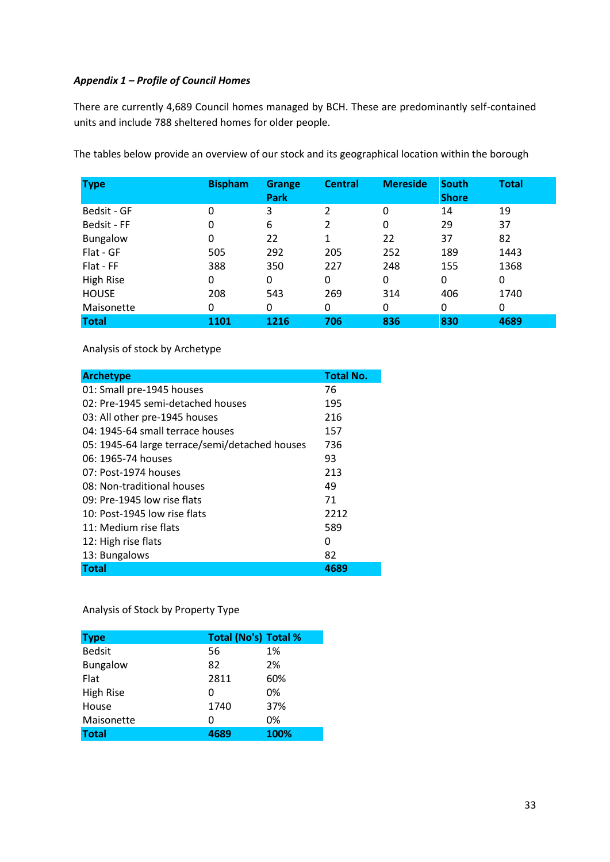#### *Appendix 1 – Profile of Council Homes*

There are currently 4,689 Council homes managed by BCH. These are predominantly self-contained units and include 788 sheltered homes for older people.

| <b>Type</b>     | <b>Bispham</b> | <b>Grange</b><br>Park | <b>Central</b> | <b>Mereside</b> | <b>South</b><br><b>Shore</b> | <b>Total</b> |
|-----------------|----------------|-----------------------|----------------|-----------------|------------------------------|--------------|
| Bedsit - GF     | 0              | 3                     | 2              | 0               | 14                           | 19           |
| Bedsit - FF     | 0              | 6                     | 2              | 0               | 29                           | 37           |
| <b>Bungalow</b> | 0              | 22                    | 1              | 22              | 37                           | 82           |
| Flat - GF       | 505            | 292                   | 205            | 252             | 189                          | 1443         |
| Flat - FF       | 388            | 350                   | 227            | 248             | 155                          | 1368         |
| High Rise       | 0              | $\Omega$              | 0              | 0               | 0                            | 0            |
| <b>HOUSE</b>    | 208            | 543                   | 269            | 314             | 406                          | 1740         |
| Maisonette      | 0              | 0                     | 0              | 0               | 0                            | 0            |
| <b>Total</b>    | 1101           | 1216                  | 706            | 836             | 830                          | 4689         |

The tables below provide an overview of our stock and its geographical location within the borough

#### Analysis of stock by Archetype

| <b>Archetype</b>                               | <b>Total No.</b> |
|------------------------------------------------|------------------|
| 01: Small pre-1945 houses                      | 76               |
| 02: Pre-1945 semi-detached houses              | 195              |
| 03: All other pre-1945 houses                  | 216              |
| 04: 1945-64 small terrace houses               | 157              |
| 05: 1945-64 large terrace/semi/detached houses | 736              |
| 06: 1965-74 houses                             | 93               |
| 07: Post-1974 houses                           | 213              |
| 08: Non-traditional houses                     | 49               |
| 09: Pre-1945 low rise flats                    | 71               |
| 10: Post-1945 low rise flats                   | 2212             |
| 11: Medium rise flats                          | 589              |
| 12: High rise flats                            | O                |
| 13: Bungalows                                  | 82               |
| <b>Total</b>                                   | 4689             |

Analysis of Stock by Property Type

| <b>Type</b>     | <b>Total (No's) Total %</b> |      |
|-----------------|-----------------------------|------|
| <b>Bedsit</b>   | 56                          | 1%   |
| <b>Bungalow</b> | 82                          | 2%   |
| Flat            | 2811                        | 60%  |
| High Rise       | 0                           | 0%   |
| House           | 1740                        | 37%  |
| Maisonette      | 0                           | 0%   |
| <b>Total</b>    | 4689                        | 100% |